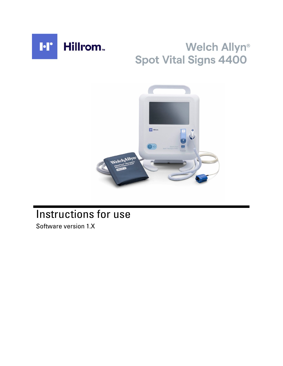

# Welch Allyn® **Spot Vital Signs 4400**



# Instructions for use

Software version 1.X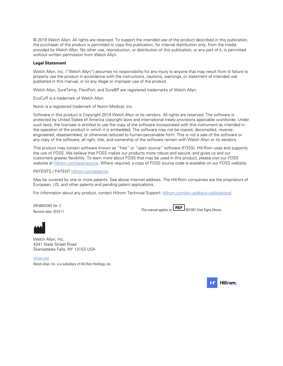© 2019 Welch Allyn. All rights are reserved. To support the intended use of the product described in this publication, the purchaser of the product is permitted to copy this publication, for internal distribution only, from the media provided by Welch Allyn. No other use, reproduction, or distribution of this publication, or any part of it, is permitted without written permission from Welch Allyn.

#### **Legal Statement**

Welch Allyn, Inc. ("Welch Allyn") assumes no responsibility for any injury to anyone that may result from (i) failure to properly use the product in accordance with the instructions, cautions, warnings, or statement of intended use published in this manual, or (ii) any illegal or improper use of the product.

Welch Allyn, SureTemp, FlexiPort, and SureBP are registered trademarks of Welch Allyn.

EcoCuff is a trademark of Welch Allyn.

Nonin is a registered trademark of Nonin Medical, Inc.

Software in this product is Copyright 2019 Welch Allyn or its vendors. All rights are reserved. The software is protected by United States of America copyright laws and international treaty provisions applicable worldwide. Under such laws, the licensee is entitled to use the copy of the software incorporated with this instrument as intended in the operation of the product in which it is embedded. The software may not be copied, decompiled, reverseengineered, disassembled, or otherwise reduced to human-perceivable form. This is not a sale of the software or any copy of the software; all right, title, and ownership of the software remain with Welch Allyn or its vendors.

This product may contain software known as "free" or "open source" software (FOSS). Hill-Rom uses and supports the use of FOSS. We believe that FOSS makes our products more robust and secure, and gives us and our customers greater flexibility. To learn more about FOSS that may be used in this product, please visit our FOSS website at [hillrom.com/opensource](http://hillrom.com/opensource). Where required, a copy of FOSS source code is available on our FOSS website.

#### PATENTS / PATENT [hillrom.com/patents](http://hillrom.com/patents).

May be covered by one or more patents. See above Internet address. The Hill-Rom companies are the proprietors of European, US, and other patents and pending patent applications.

For information about any product, contact Hillrom Technical Support: [hillrom.com/en-us/about-us/locations/](https://hillrom.com/en-us/about-us/locations/).

DIR 80024362 Ver. C Revision date: 2019-11

This manual applies to  $\text{REF}$  901057 Vital Signs Device.



Welch Allyn, Inc. 4341 State Street Road Skaneateles Falls, NY 13153 USA

[hillrom.com](http://hillrom.com) Welch Allyn, Inc. is a subsidiary of Hill-Rom Holdings, Inc.

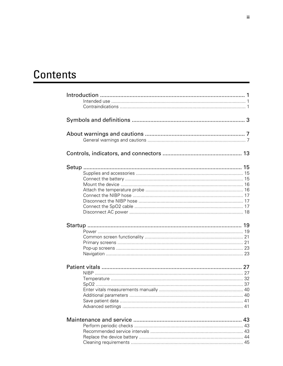# Contents

| 43 |
|----|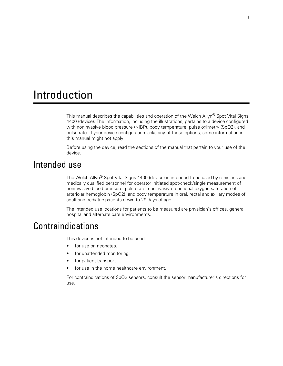# <span id="page-4-0"></span>Introduction

This manual describes the capabilities and operation of the Welch Allyn<sup>®</sup> Spot Vital Signs 4400 (device). The information, including the illustrations, pertains to a device configured with noninvasive blood pressure (NIBP), body temperature, pulse oximetry (SpO2), and pulse rate. If your device configuration lacks any of these options, some information in this manual might not apply.

Before using the device, read the sections of the manual that pertain to your use of the device.

### Intended use

The Welch Allyn® Spot Vital Signs 4400 (device) is intended to be used by clinicians and medically qualified personnel for operator initiated spot-check/single measurement of noninvasive blood pressure, pulse rate, noninvasive functional oxygen saturation of arteriolar hemoglobin (SpO2), and body temperature in oral, rectal and axillary modes of adult and pediatric patients down to 29 days of age.

The intended use locations for patients to be measured are physician's offices, general hospital and alternate care environments.

### **Contraindications**

This device is not intended to be used:

- for use on neonates.
- for unattended monitoring.
- for patient transport.
- for use in the home healthcare environment.

For contraindications of SpO2 sensors, consult the sensor manufacturer's directions for use.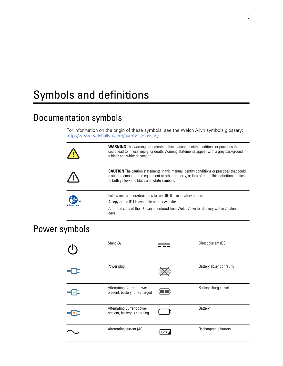# <span id="page-6-0"></span>Symbols and definitions

# Documentation symbols

For information on the origin of these symbols, see the Welch Allyn symbols glossary: <http://www.welchallyn.com/symbolsglossary>.

| $\sqrt{1}$  | <b>WARNING</b> The warning statements in this manual identify conditions or practices that<br>could lead to illness, injury, or death. Warning statements appear with a grey background in<br>a black and white document.                        |
|-------------|--------------------------------------------------------------------------------------------------------------------------------------------------------------------------------------------------------------------------------------------------|
| $\sqrt{N}$  | <b>CAUTION</b> The caution statements in this manual identify conditions or practices that could<br>result in damage to the equipment or other property, or loss of data. This definition applies<br>to both yellow and black and white symbols. |
|             | Follow instructions/directions for use (IFU) -- mandatory action.<br>A copy of the IFU is available on this website.                                                                                                                             |
| hillrom.com | A printed copy of the IFU can be ordered from Welch Allyn for delivery within 7 calendar<br>days.                                                                                                                                                |

# Power symbols

| Stand-By                                                    | Direct current (DC)      |
|-------------------------------------------------------------|--------------------------|
| Power plug                                                  | Battery absent or faulty |
| Alternating Current power<br>present, battery fully charged | Battery charge level     |
| Alternating Current power<br>present, battery is charging   | Battery                  |
| Alternating current (AC)                                    | Rechargeable battery     |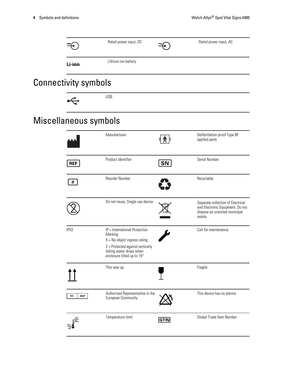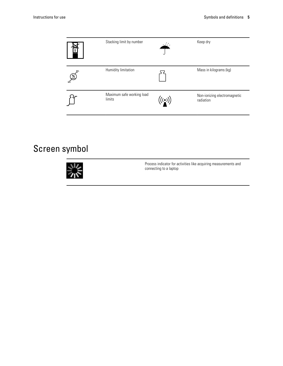| 5             | Stacking limit by number            | المنطقة                                  | Keep dry                                  |
|---------------|-------------------------------------|------------------------------------------|-------------------------------------------|
| $\mathscr{E}$ | Humidity limitation                 |                                          | Mass in kilograms (kg)                    |
|               | Maximum safe working load<br>limits | $\left(\left(\binom{n}{k}\right)\right)$ | Non-ionizing electromagnetic<br>radiation |

# Screen symbol



Process indicator for activities like acquiring measurements and connecting to a laptop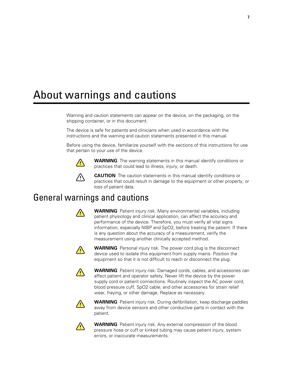# <span id="page-10-0"></span>About warnings and cautions

Warning and caution statements can appear on the device, on the packaging, on the shipping container, or in this document.

The device is safe for patients and clinicians when used in accordance with the instructions and the warning and caution statements presented in this manual.

Before using the device, familiarize yourself with the sections of this instructions for use that pertain to your use of the device.



**WARNING** The warning statements in this manual identify conditions or practices that could lead to illness, injury, or death.



**CAUTION** The caution statements in this manual identify conditions or practices that could result in damage to the equipment or other property, or loss of patient data.

# General warnings and cautions



**WARNING** Patient injury risk. Many environmental variables, including patient physiology and clinical application, can affect the accuracy and performance of the device. Therefore, you must verify all vital signs information, especially NIBP and SpO2, before treating the patient. If there is any question about the accuracy of a measurement, verify the measurement using another clinically accepted method.



**WARNING** Personal injury risk. The power cord plug is the disconnect device used to isolate this equipment from supply mains. Position the equipment so that it is not difficult to reach or disconnect the plug.



**WARNING** Patient injury risk. Damaged cords, cables, and accessories can affect patient and operator safety. Never lift the device by the power supply cord or patient connections. Routinely inspect the AC power cord, blood pressure cuff, SpO2 cable, and other accessories for strain relief wear, fraying, or other damage. Replace as necessary.



**WARNING** Patient injury risk. During defibrillation, keep discharge paddles away from device sensors and other conductive parts in contact with the patient.



**WARNING** Patient injury risk. Any external compression of the blood pressure hose or cuff or kinked tubing may cause patient injury, system errors, or inaccurate measurements.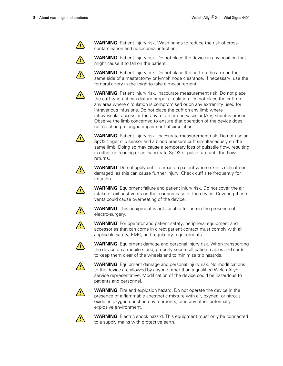

**WARNING** Patient injury risk. Wash hands to reduce the risk of crosscontamination and nosocomial infection.

**WARNING** Patient injury risk. Do not place the device in any position that might cause it to fall on the patient.



**WARNING** Patient injury risk. Do not place the cuff on the arm on the same side of a mastectomy or lymph node clearance. If necessary, use the femoral artery in the thigh to take a measurement.



**WARNING** Patient injury risk. Inaccurate measurement risk. Do not place the cuff where it can disturb proper circulation. Do not place the cuff on any area where circulation is compromised or on any extremity used for intravenous infusions. Do not place the cuff on any limb where intravascular access or therapy, or an arterio-vascular (A-V) shunt is present. Observe the limb concerned to ensure that operation of the device does not result in prolonged impairment of circulation.



**WARNING** Patient injury risk. Inaccurate measurement risk. Do not use an SpO2 finger clip sensor and a blood pressure cuff simultaneously on the same limb. Doing so may cause a temporary loss of pulsatile flow, resulting in either no reading or an inaccurate SpO2 or pulse rate until the flow returns.



**WARNING** Do not apply cuff to areas on patient where skin is delicate or damaged, as this can cause further injury. Check cuff site frequently for irritation.



**WARNING** Equipment failure and patient injury risk. Do not cover the air intake or exhaust vents on the rear and base of the device. Covering these vents could cause overheating of the device.



**WARNING** This equipment is not suitable for use in the presence of electro-surgery.



**WARNING** For operator and patient safety, peripheral equipment and accessories that can come in direct patient contact must comply with all applicable safety, EMC, and regulatory requirements.



**WARNING** Equipment damage and personal injury risk. When transporting the device on a mobile stand, properly secure all patient cables and cords to keep them clear of the wheels and to minimize trip hazards.



**WARNING** Equipment damage and personal injury risk. No modifications to the device are allowed by anyone other than a qualified Welch Allyn service representative. Modification of the device could be hazardous to patients and personnel.



**WARNING** Fire and explosion hazard. Do not operate the device in the presence of a flammable anesthetic mixture with air, oxygen, or nitrous oxide; in oxygen-enriched environments; or in any other potentially explosive environment.



**WARNING** Electric shock hazard. This equipment must only be connected to a supply mains with protective earth.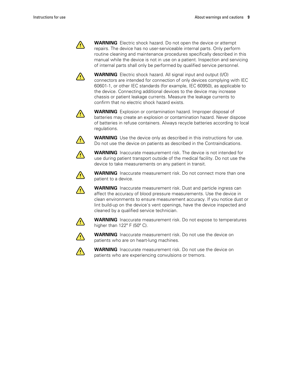

**WARNING** Electric shock hazard. Do not open the device or attempt repairs. The device has no user-serviceable internal parts. Only perform routine cleaning and maintenance procedures specifically described in this manual while the device is not in use on a patient. Inspection and servicing of internal parts shall only be performed by qualified service personnel.



**WARNING** Electric shock hazard. All signal input and output (I/O) connectors are intended for connection of only devices complying with IEC 60601-1, or other IEC standards (for example, IEC 60950), as applicable to the device. Connecting additional devices to the device may increase chassis or patient leakage currents. Measure the leakage currents to confirm that no electric shock hazard exists.



**WARNING** Explosion or contamination hazard. Improper disposal of batteries may create an explosion or contamination hazard. Never dispose of batteries in refuse containers. Always recycle batteries according to local regulations.



**WARNING** Use the device only as described in this instructions for use. Do not use the device on patients as described in the Contraindications.



**WARNING** Inaccurate measurement risk. The device is not intended for use during patient transport outside of the medical facility. Do not use the device to take measurements on any patient in transit.



**WARNING** Inaccurate measurement risk. Do not connect more than one patient to a device.



**WARNING** Inaccurate measurement risk. Dust and particle ingress can affect the accuracy of blood pressure measurements. Use the device in clean environments to ensure measurement accuracy. If you notice dust or lint build-up on the device's vent openings, have the device inspected and cleaned by a qualified service technician.



**WARNING** Inaccurate measurement risk. Do not expose to temperatures higher than  $122^{\circ}$  F (50 $^{\circ}$  C).



**WARNING** Inaccurate measurement risk. Do not use the device on patients who are on heart-lung machines.



**WARNING** Inaccurate measurement risk. Do not use the device on patients who are experiencing convulsions or tremors.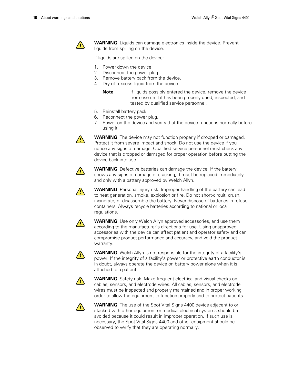

**WARNING** Liquids can damage electronics inside the device. Prevent liquids from spilling on the device.

If liquids are spilled on the device:

- 1. Power down the device.
- 2. Disconnect the power plug.
- 3. Remove battery pack from the device.
- 4. Dry off excess liquid from the device.
	- **Note** If liquids possibly entered the device, remove the device from use until it has been properly dried, inspected, and tested by qualified service personnel.
- 5. Reinstall battery pack.
- 6. Reconnect the power plug.
- 7. Power on the device and verify that the device functions normally before using it.



**WARNING** The device may not function properly if dropped or damaged. Protect it from severe impact and shock. Do not use the device if you notice any signs of damage. Qualified service personnel must check any device that is dropped or damaged for proper operation before putting the device back into use.



**WARNING** Defective batteries can damage the device. If the battery shows any signs of damage or cracking, it must be replaced immediately and only with a battery approved by Welch Allyn.



**WARNING** Personal injury risk. Improper handling of the battery can lead to heat generation, smoke, explosion or fire. Do not short-circuit, crush, incinerate, or disassemble the battery. Never dispose of batteries in refuse containers. Always recycle batteries according to national or local regulations.



**WARNING** Use only Welch Allyn approved accessories, and use them according to the manufacturer's directions for use. Using unapproved accessories with the device can affect patient and operator safety and can compromise product performance and accuracy, and void the product warranty.



**WARNING** Welch Allyn is not responsible for the integrity of a facility's power. If the integrity of a facility's power or protective earth conductor is in doubt, always operate the device on battery power alone when it is attached to a patient.



**WARNING** Safety risk. Make frequent electrical and visual checks on cables, sensors, and electrode wires. All cables, sensors, and electrode wires must be inspected and properly maintained and in proper working order to allow the equipment to function properly and to protect patients.



**WARNING** The use of the Spot Vital Signs 4400 device adjacent to or stacked with other equipment or medical electrical systems should be avoided because it could result in improper operation. If such use is necessary, the Spot Vital Signs 4400 and other equipment should be observed to verify that they are operating normally.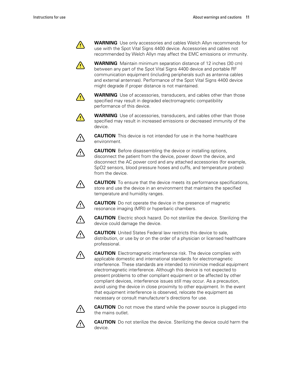

**WARNING** Use only accessories and cables Welch Allyn recommends for use with the Spot Vital Signs 4400 device. Accessories and cables not recommended by Welch Allyn may affect the EMC emissions or immunity.

**WARNING** Maintain minimum separation distance of 12 inches (30 cm) between any part of the Spot Vital Signs 4400 device and portable RF communication equipment (including peripherals such as antenna cables and external antennas). Performance of the Spot Vital Signs 4400 device might degrade if proper distance is not maintained.



**WARNING** Use of accessories, transducers, and cables other than those specified may result in degraded electromagnetic compatibility performance of this device.



**WARNING** Use of accessories, transducers, and cables other than those specified may result in increased emissions or decreased immunity of the device.



/!\

**CAUTION** This device is not intended for use in the home healthcare environment.

**CAUTION** Before disassembling the device or installing options, disconnect the patient from the device, power down the device, and disconnect the AC power cord and any attached accessories (for example, SpO2 sensors, blood pressure hoses and cuffs, and temperature probes) from the device.

**CAUTION** To ensure that the device meets its performance specifications, store and use the device in an environment that maintains the specified temperature and humidity ranges.



 $\angle$ 

**CAUTION** Do not operate the device in the presence of magnetic resonance imaging (MRI) or hyperbaric chambers.



**CAUTION** Electric shock hazard. Do not sterilize the device. Sterilizing the device could damage the device.



**CAUTION** United States Federal law restricts this device to sale, distribution, or use by or on the order of a physician or licensed healthcare professional.



**CAUTION** Electromagnetic interference risk. The device complies with applicable domestic and international standards for electromagnetic interference. These standards are intended to minimize medical equipment electromagnetic interference. Although this device is not expected to present problems to other compliant equipment or be affected by other compliant devices, interference issues still may occur. As a precaution, avoid using the device in close proximity to other equipment. In the event that equipment interference is observed, relocate the equipment as necessary or consult manufacturer's directions for use.



**CAUTION** Do not move the stand while the power source is plugged into the mains outlet.



**CAUTION** Do not sterilize the device. Sterilizing the device could harm the device.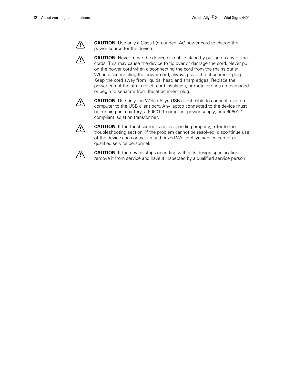

⁄!\

**CAUTION** Use only a Class I (grounded) AC power cord to charge the power source for the device.

**CAUTION** Never move the device or mobile stand by pulling on any of the cords. This may cause the device to tip over or damage the cord. Never pull on the power cord when disconnecting the cord from the mains outlet. When disconnecting the power cord, always grasp the attachment plug. Keep the cord away from liquids, heat, and sharp edges. Replace the power cord if the strain relief, cord insulation, or metal prongs are damaged or begin to separate from the attachment plug.



**CAUTION** Use only the Welch Allyn USB client cable to connect a laptop computer to the USB client port. Any laptop connected to the device must be running on a battery, a 60601-1 compliant power supply, or a 60601-1 compliant isolation transformer.



**CAUTION** If the touchscreen is not responding properly, refer to the troubleshooting section. If the problem cannot be resolved, discontinue use of the device and contact an authorized Welch Allyn service center or qualified service personnel.



**CAUTION** If the device stops operating within its design specifications, remove it from service and have it inspected by a qualified service person.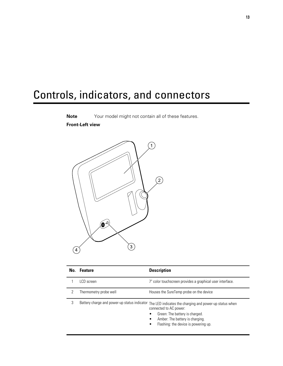# <span id="page-16-0"></span>Controls, indicators, and connectors



| No. | <b>Feature</b>                               | <b>Description</b>                                                                                                                                                                             |
|-----|----------------------------------------------|------------------------------------------------------------------------------------------------------------------------------------------------------------------------------------------------|
|     | LCD screen                                   | 7" color touchscreen provides a graphical user interface.                                                                                                                                      |
|     | Thermometry probe well                       | Houses the SureTemp probe on the device                                                                                                                                                        |
| 3   | Battery charge and power-up status indicator | The LED indicates the charging and power-up status when<br>connected to AC power:<br>Green: The battery is charged.<br>Amber: The battery is charging.<br>Flashing: the device is powering up. |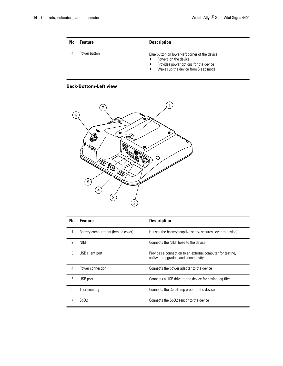| No. | <b>Feature</b> | <b>Description</b>                                                                                                                                                                             |
|-----|----------------|------------------------------------------------------------------------------------------------------------------------------------------------------------------------------------------------|
|     | Power button   | Blue button on lower-left corner of the device.<br>Powers on the device<br>$\bullet$<br>Provides power options for the device<br>$\bullet$<br>Wakes up the device from Sleep mode<br>$\bullet$ |

#### **Back-Bottom-Left view**



|   | No. Feature                        | <b>Description</b>                                                                                |
|---|------------------------------------|---------------------------------------------------------------------------------------------------|
|   | Battery compartment (behind cover) | Houses the battery (captive screw secures cover to device)                                        |
|   | <b>NIBP</b>                        | Connects the NIBP hose to the device                                                              |
| 3 | USB client port                    | Provides a connection to an external computer for testing.<br>software upgrades, and connectivity |
| 4 | Power connection                   | Connects the power adapter to the device                                                          |
| 5 | USB port                           | Connects a USB drive to the device for saving log files                                           |
| 6 | Thermometry                        | Connects the SureTemp probe to the device                                                         |
|   | SpO2                               | Connects the SpO2 sensor to the device                                                            |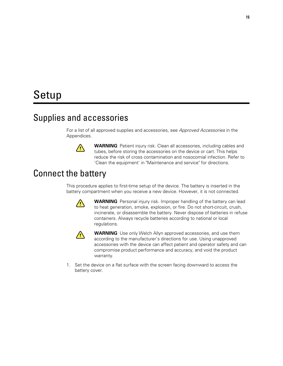# <span id="page-18-0"></span>Setup

### Supplies and accessories

For a list of all approved supplies and accessories, see *Approved Accessories* in the Appendices.



**WARNING** Patient injury risk. Clean all accessories, including cables and tubes, before storing the accessories on the device or cart. This helps reduce the risk of cross contamination and nosocomial infection. Refer to 'Clean the equipment' in "Maintenance and service" for directions.

### Connect the battery

This procedure applies to first-time setup of the device. The battery is inserted in the battery compartment when you receive a new device. However, it is not connected.



**WARNING** Personal injury risk. Improper handling of the battery can lead to heat generation, smoke, explosion, or fire. Do not short-circuit, crush, incinerate, or disassemble the battery. Never dispose of batteries in refuse containers. Always recycle batteries according to national or local regulations.



**WARNING** Use only Welch Allyn approved accessories, and use them according to the manufacturer's directions for use. Using unapproved accessories with the device can affect patient and operator safety and can compromise product performance and accuracy, and void the product warranty.

1. Set the device on a flat surface with the screen facing downward to access the battery cover.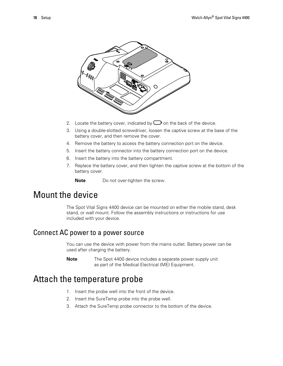<span id="page-19-0"></span>

- 2. Locate the battery cover, indicated by  $\Box$  on the back of the device.
- 3. Using a double-slotted screwdriver, loosen the captive screw at the base of the battery cover, and then remove the cover.
- 4. Remove the battery to access the battery connection port on the device.
- 5. Insert the battery connector into the battery connection port on the device.
- 6. Insert the battery into the battery compartment.
- 7. Replace the battery cover, and then tighten the captive screw at the bottom of the battery cover.

**Note** Do not over-tighten the screw.

# Mount the device

The Spot Vital Signs 4400 device can be mounted on either the mobile stand, desk stand, or wall mount. Follow the assembly instructions or instructions for use included with your device.

#### Connect AC power to a power source

You can use the device with power from the mains outlet. Battery power can be used after charging the battery.

**Note** The Spot 4400 device includes a separate power supply unit as part of the Medical Electrical (ME) Equipment.

### Attach the temperature probe

- 1. Insert the probe well into the front of the device.
- 2. Insert the SureTemp probe into the probe well.
- 3. Attach the SureTemp probe connector to the bottom of the device.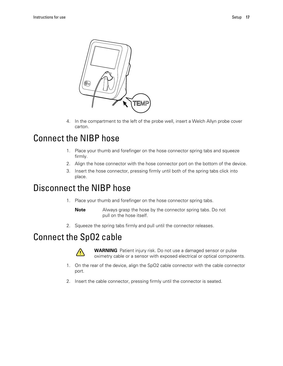<span id="page-20-0"></span>

4. In the compartment to the left of the probe well, insert a Welch Allyn probe cover carton.

### Connect the NIBP hose

- 1. Place your thumb and forefinger on the hose connector spring tabs and squeeze firmly.
- 2. Align the hose connector with the hose connector port on the bottom of the device.
- 3. Insert the hose connector, pressing firmly until both of the spring tabs click into place.

# Disconnect the NIBP hose

1. Place your thumb and forefinger on the hose connector spring tabs.

**Note** Always grasp the hose by the connector spring tabs. Do not pull on the hose itself.

2. Squeeze the spring tabs firmly and pull until the connector releases.

# Connect the SpO2 cable



**WARNING** Patient injury risk. Do not use a damaged sensor or pulse oximetry cable or a sensor with exposed electrical or optical components.

- 1. On the rear of the device, align the SpO2 cable connector with the cable connector port.
- 2. Insert the cable connector, pressing firmly until the connector is seated.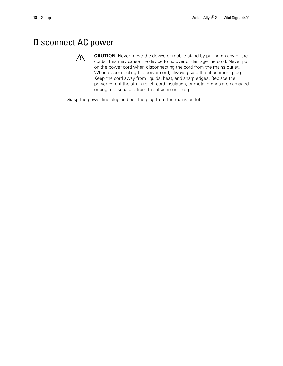# <span id="page-21-0"></span>Disconnect AC power



**CAUTION** Never move the device or mobile stand by pulling on any of the cords. This may cause the device to tip over or damage the cord. Never pull on the power cord when disconnecting the cord from the mains outlet. When disconnecting the power cord, always grasp the attachment plug. Keep the cord away from liquids, heat, and sharp edges. Replace the power cord if the strain relief, cord insulation, or metal prongs are damaged or begin to separate from the attachment plug.

Grasp the power line plug and pull the plug from the mains outlet.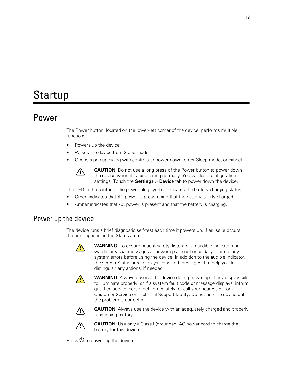# <span id="page-22-0"></span>Startup

### Power

The Power button, located on the lower-left corner of the device, performs multiple functions.

- Powers up the device
- Wakes the device from Sleep mode
- Opens a pop-up dialog with controls to power down, enter Sleep mode, or cancel



**CAUTION** Do not use a long press of the Power button to power down the device when it is functioning normally. You will lose configuration settings. Touch the **Settings** > **Device** tab to power down the device.

The LED in the center of the power plug symbol indicates the battery charging status.

- Green indicates that AC power is present and that the battery is fully charged.
- Amber indicates that AC power is present and that the battery is charging.

#### Power up the device

The device runs a brief diagnostic self-test each time it powers up. If an issue occurs, the error appears in the Status area.



**WARNING** To ensure patient safety, listen for an audible indicator and watch for visual messages at power-up at least once daily. Correct any system errors before using the device. In addition to the audible indicator, the screen Status area displays icons and messages that help you to distinguish any actions, if needed.



**WARNING** Always observe the device during power-up. If any display fails to illuminate properly, or if a system fault code or message displays, inform qualified service personnel immediately, or call your nearest Hillrom Customer Service or Technical Support facility. Do not use the device until the problem is corrected.



**CAUTION** Always use the device with an adequately charged and properly functioning battery.



**CAUTION** Use only a Class I (grounded) AC power cord to charge the battery for this device.

Press  $\Phi$  to power up the device.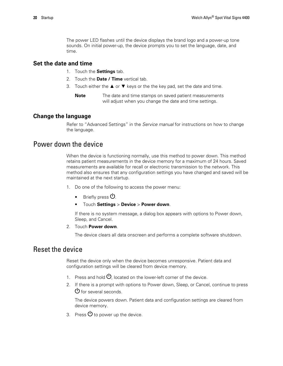The power LED flashes until the device displays the brand logo and a power-up tone sounds. On initial power-up, the device prompts you to set the language, date, and time.

#### **Set the date and time**

- 1. Touch the **Settings** tab.
- 2. Touch the **Date / Time** vertical tab.
- 3. Touch either the  $\triangle$  or  $\nabla$  keys or the the key pad, set the date and time.
	- **Note** The date and time stamps on saved patient measurements will adjust when you change the date and time settings.

#### **Change the language**

Refer to "Advanced Settings" in the *Service manual* for instructions on how to change the language.

#### Power down the device

When the device is functioning normally, use this method to power down. This method retains patient measurements in the device memory for a maximum of 24 hours. Saved measurements are available for recall or electronic transmission to the network. This method also ensures that any configuration settings you have changed and saved will be maintained at the next startup.

- 1. Do one of the following to access the power menu:
	- Briefly press  $\mathbf{0}$ .
	- Touch **Settings** > **Device** > **Power down**.

If there is no system message, a dialog box appears with options to Power down, Sleep, and Cancel.

2. Touch **Power down**.

The device clears all data onscreen and performs a complete software shutdown.

#### Reset the device

Reset the device only when the device becomes unresponsive. Patient data and configuration settings will be cleared from device memory.

- 1. Press and hold  $\mathcal{O}$ , located on the lower-left corner of the device.
- 2. If there is a prompt with options to Power down, Sleep, or Cancel, continue to press  $\mathbf{\Theta}$  for several seconds.

The device powers down. Patient data and configuration settings are cleared from device memory.

3. Press  $\mathbf{\Theta}$  to power up the device.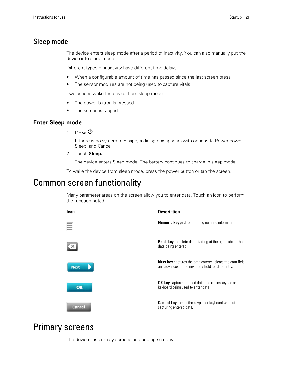#### <span id="page-24-0"></span>Sleep mode

The device enters sleep mode after a period of inactivity. You can also manually put the device into sleep mode.

Different types of inactivity have different time delays.

- When a configurable amount of time has passed since the last screen press
- The sensor modules are not being used to capture vitals

Two actions wake the device from sleep mode.

- The power button is pressed.
- The screen is tapped.

#### **Enter Sleep mode**

1. Press  $\theta$ .

If there is no system message, a dialog box appears with options to Power down, Sleep, and Cancel.

2. Touch **Sleep.**

The device enters Sleep mode. The battery continues to charge in sleep mode.

To wake the device from sleep mode, press the power button or tap the screen.

### Common screen functionality

Many parameter areas on the screen allow you to enter data. Touch an icon to perform the function noted.



### Primary screens

The device has primary screens and pop-up screens.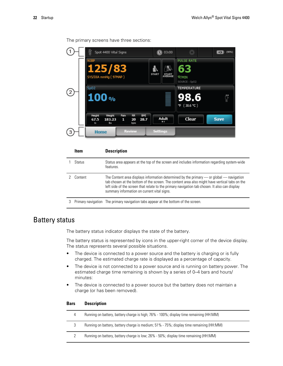|     | Spot 4400 Vital Signs                                 |                               |                    |                    | <b>1</b> 03:00   | 兴                                                | $\overline{ }$ | (90%) |
|-----|-------------------------------------------------------|-------------------------------|--------------------|--------------------|------------------|--------------------------------------------------|----------------|-------|
|     | <b>NIBP</b><br>125/83<br>SYS/DIA mmHg (97MAP)         |                               |                    | <b>START</b>       | START<br>AVERAGE | <b>PULSE RATE</b><br>63<br>V/min<br>SOURCE: SpO2 |                |       |
| (2) | SpO <sub>2</sub><br>100%                              |                               |                    |                    |                  | TEMPERATURE<br>98.6<br>°F (38.6 ℃)               |                |       |
|     | Height<br>Weight<br>183.23<br>67.5<br><b>lbs</b><br>m | Pain<br>RR.<br>1<br>20<br>bpm | <b>BMI</b><br>28.7 | Adult<br>$\bullet$ |                  | Clear                                            | <b>Save</b>    |       |
| 3   | <b>Home</b>                                           | <b>Review</b>                 |                    | <b>Settings</b>    |                  |                                                  |                |       |

The primary screens have three sections:

|   | Item    | <b>Description</b>                                                                                                                                                                                                                                                                                                                                  |
|---|---------|-----------------------------------------------------------------------------------------------------------------------------------------------------------------------------------------------------------------------------------------------------------------------------------------------------------------------------------------------------|
|   | Status  | Status area appears at the top of the screen and includes information regarding system-wide<br>features.                                                                                                                                                                                                                                            |
|   | Content | The Content area displays information determined by the primary $\sim$ or global $\sim$ navigation<br>tab chosen at the bottom of the screen. The content area also might have vertical tabs on the<br>left side of the screen that relate to the primary navigation tab chosen. It also can display<br>summary information on current vital signs. |
| 3 |         | Primary navigation The primary navigation tabs appear at the bottom of the screen.                                                                                                                                                                                                                                                                  |

#### Battery status

The battery status indicator displays the state of the battery.

The battery status is represented by icons in the upper-right corner of the device display. The status represents several possible situations.

- The device is connected to a power source and the battery is charging or is fully charged. The estimated charge rate is displayed as a percentage of capacity.
- The device is not connected to a power source and is running on battery power. The estimated charge time remaining is shown by a series of 0–4 bars and hours/ minutes:
- The device is connected to a power source but the battery does not maintain a charge (or has been removed).

#### **Bars Description**

| 4 | Running on battery, battery charge is high; 76% - 100%; display time remaining (HH:MM)  |
|---|-----------------------------------------------------------------------------------------|
| 3 | Running on battery, battery charge is medium; 51% - 75%; display time remaining (HH:MM) |
|   | Running on battery, battery charge is low; 26% - 50%; display time remaining (HH:MM)    |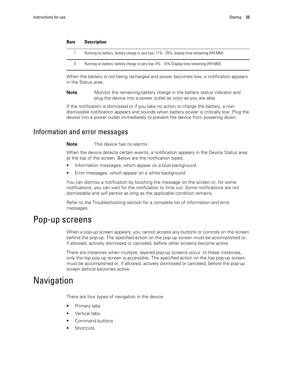<span id="page-26-0"></span>

| Bars | <b>Description</b>                                                                        |
|------|-------------------------------------------------------------------------------------------|
|      | Running on battery, battery charge is very low; 11% - 25%; display time remaining (HH:MM) |
| 0    | Running on battery, battery charge is very low; 0% - 10% Display time remaining (HH:MM)   |

When the battery is not being recharged and power becomes low, a notification appears in the Status area.

**Note** Monitor the remaining battery charge in the battery status indicator and plug the device into a power outlet as soon as you are able.

If the notification is dismissed or if you take no action to charge the battery, a nondismissible notification appears and sounds when battery power is critically low. Plug the device into a power outlet immediately to prevent the device from powering down.

#### Information and error messages

**Note** This device has no alarms.

When the device detects certain events, a notification appears in the Device Status area at the top of the screen. Below are the notification types.

- Information messages, which appear on a blue background.
- Error messages, which appear on a white background.

You can dismiss a notification by touching the message on the screen or, for some notifications, you can wait for the notification to time out. Some notifications are not dismissable and will persist as long as the applicable condition remains.

Refer to the Troubleshooting section for a complete list of information and error messages.

### Pop-up screens

When a pop-up screen appears, you cannot access any buttons or controls on the screen behind the pop-up. The specified action on the pop-up screen must be accomplished or, if allowed, actively dismissed or canceled, before other screens become active.

There are instances when multiple, layered pop-up screens occur. In these instances, only the top pop-up screen is accessible. The specified action on the top pop-up screen must be accomplished or, if allowed, actively dismissed or canceled, before the pop-up screen behind becomes active.

### Navigation

There are four types of navigation in the device:

- Primary tabs
- Vertical tabs
- Command buttons
- **Shortcuts**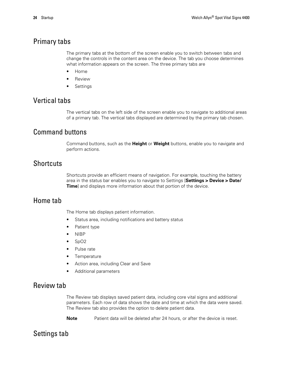#### Primary tabs

The primary tabs at the bottom of the screen enable you to switch between tabs and change the controls in the content area on the device. The tab you choose determines what information appears on the screen. The three primary tabs are

- Home
- **Review**
- **Settings**

#### Vertical tabs

The vertical tabs on the left side of the screen enable you to navigate to additional areas of a primary tab. The vertical tabs displayed are determined by the primary tab chosen.

#### Command buttons

Command buttons, such as the **Height** or **Weight** buttons, enable you to navigate and perform actions.

#### **Shortcuts**

Shortcuts provide an efficient means of navigation. For example, touching the battery area in the status bar enables you to navigate to Settings [**Settings > Device > Date/ Time**] and displays more information about that portion of the device.

#### Home tab

The Home tab displays patient information.

- Status area, including notifications and battery status
- Patient type
- NIBP
- SpO2
- Pulse rate
- Temperature
- Action area, including Clear and Save
- Additional parameters

#### Review tab

The Review tab displays saved patient data, including core vital signs and additional parameters. Each row of data shows the date and time at which the data were saved. The Review tab also provides the option to delete patient data.

**Note** Patient data will be deleted after 24 hours, or after the device is reset.

### Settings tab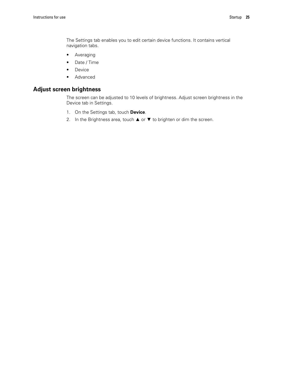The Settings tab enables you to edit certain device functions. It contains vertical navigation tabs.

- Averaging
- Date / Time
- Device
- Advanced

#### **Adjust screen brightness**

The screen can be adjusted to 10 levels of brightness. Adjust screen brightness in the Device tab in Settings.

- 1. On the Settings tab, touch **Device**.
- 2. In the Brightness area, touch ▲ or ▼ to brighten or dim the screen.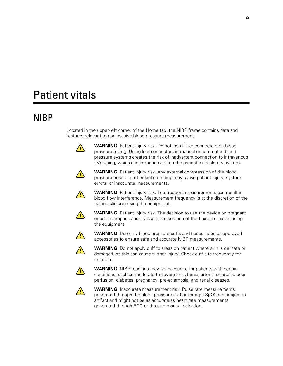# <span id="page-30-0"></span>Patient vitals

# NIBP

Located in the upper-left corner of the Home tab, the NIBP frame contains data and features relevant to noninvasive blood pressure measurement.



**WARNING** Patient injury risk. Do not install luer connectors on blood pressure tubing. Using luer connectors in manual or automated blood pressure systems creates the risk of inadvertent connection to intravenous (IV) tubing, which can introduce air into the patient's circulatory system.



**WARNING** Patient injury risk. Any external compression of the blood pressure hose or cuff or kinked tubing may cause patient injury, system errors, or inaccurate measurements.



**WARNING** Patient injury risk. Too frequent measurements can result in blood flow interference. Measurement frequency is at the discretion of the trained clinician using the equipment.



**WARNING** Patient injury risk. The decision to use the device on pregnant or pre-eclamptic patients is at the discretion of the trained clinician using the equipment.



**WARNING** Use only blood pressure cuffs and hoses listed as approved accessories to ensure safe and accurate NIBP measurements.



**WARNING** Do not apply cuff to areas on patient where skin is delicate or damaged, as this can cause further injury. Check cuff site frequently for irritation.



**WARNING** NIBP readings may be inaccurate for patients with certain conditions, such as moderate to severe arrhythmia, arterial sclerosis, poor perfusion, diabetes, pregnancy, pre-eclampsia, and renal diseases.



**WARNING** Inaccurate measurement risk. Pulse rate measurements generated through the blood pressure cuff or through SpO2 are subject to artifact and might not be as accurate as heart rate measurements generated through ECG or through manual palpation.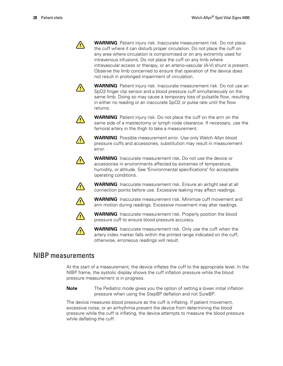**WARNING** Patient injury risk. Inaccurate measurement risk. Do not place the cuff where it can disturb proper circulation. Do not place the cuff on any area where circulation is compromised or on any extremity used for intravenous infusions. Do not place the cuff on any limb where intravascular access or therapy, or an arterio-vascular (A-V) shunt is present. Observe the limb concerned to ensure that operation of the device does not result in prolonged impairment of circulation.



**/!\** 

**WARNING** Patient injury risk. Inaccurate measurement risk. Do not use an SpO2 finger clip sensor and a blood pressure cuff simultaneously on the same limb. Doing so may cause a temporary loss of pulsatile flow, resulting in either no reading or an inaccurate SpO2 or pulse rate until the flow returns.



**WARNING** Patient injury risk. Do not place the cuff on the arm on the same side of a mastectomy or lymph node clearance. If necessary, use the femoral artery in the thigh to take a measurement.



**WARNING** Possible measurement error. Use only Welch Allyn blood pressure cuffs and accessories; substitution may result in measurement error.

**WARNING** Inaccurate measurement risk. Do not use the device or accessories in environments affected by extremes of temperature, humidity, or altitude. See "Environmental specifications" for acceptable operating conditions.



**WARNING** Inaccurate measurement risk. Ensure an airtight seal at all connection points before use. Excessive leaking may affect readings.



**WARNING** Inaccurate measurement risk. Minimize cuff movement and arm motion during readings. Excessive movement may alter readings.



**WARNING** Inaccurate measurement risk. Properly position the blood pressure cuff to ensure blood pressure accuracy.



**WARNING** Inaccurate measurement risk. Only use the cuff when the artery index marker falls within the printed range indicated on the cuff; otherwise, erroneous readings will result.

#### NIBP measurements

At the start of a measurement, the device inflates the cuff to the appropriate level. In the NIBP frame, the systolic display shows the cuff inflation pressure while the blood pressure measurement is in progress.

**Note** The Pediatric mode gives you the option of setting a lower initial inflation pressure when using the StepBP deflation and not SureBP.

The device measures blood pressure as the cuff is inflating. If patient movement, excessive noise, or an arrhythmia prevent the device from determining the blood pressure while the cuff is inflating, the device attempts to measure the blood pressure while deflating the cuff.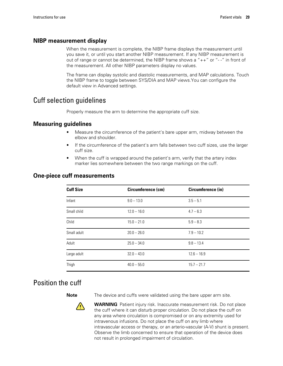#### **NIBP measurement display**

When the measurement is complete, the NIBP frame displays the measurement until you save it, or until you start another NIBP measurement. If any NIBP measurement is out of range or cannot be determined, the NIBP frame shows a "++" or "- -" in front of the measurement. All other NIBP parameters display no values.

The frame can display systolic and diastolic measurements, and MAP calculations. Touch the NIBP frame to toggle between SYS/DIA and MAP views.You can configure the default view in Advanced settings.

#### Cuff selection guidelines

Properly measure the arm to determine the appropriate cuff size.

#### **Measuring guidelines**

- Measure the circumference of the patient's bare upper arm, midway between the elbow and shoulder.
- If the circumference of the patient's arm falls between two cuff sizes, use the larger cuff size.
- When the cuff is wrapped around the patient's arm, verify that the artery index marker lies somewhere between the two range markings on the cuff.

| <b>Cuff Size</b> | Circumference (cm) | Circumference (in) |
|------------------|--------------------|--------------------|
| Infant           | $9.0 - 13.0$       | $3.5 - 5.1$        |
| Small child      | $12.0 - 16.0$      | $4.7 - 6.3$        |
| Child            | $15.0 - 21.0$      | $5.9 - 8.3$        |
| Small adult      | $20.0 - 26.0$      | $7.9 - 10.2$       |
| Adult            | $25.0 - 34.0$      | $9.8 - 13.4$       |
| Large adult      | $32.0 - 43.0$      | $12.6 - 16.9$      |
| Thigh            | $40.0 - 55.0$      | $15.7 - 21.7$      |

#### **One-piece cuff measurements**

#### Position the cuff



**Note** The device and cuffs were validated using the bare upper arm site.

**WARNING** Patient injury risk. Inaccurate measurement risk. Do not place the cuff where it can disturb proper circulation. Do not place the cuff on any area where circulation is compromised or on any extremity used for intravenous infusions. Do not place the cuff on any limb where intravascular access or therapy, or an arterio-vascular (A-V) shunt is present. Observe the limb concerned to ensure that operation of the device does not result in prolonged impairment of circulation.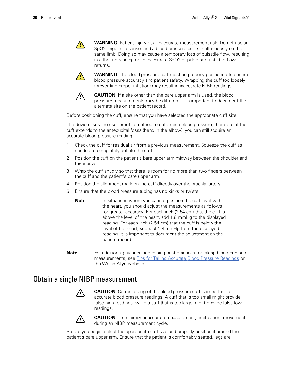$\sqrt{1}$ 

**WARNING** Patient injury risk. Inaccurate measurement risk. Do not use an SpO2 finger clip sensor and a blood pressure cuff simultaneously on the same limb. Doing so may cause a temporary loss of pulsatile flow, resulting in either no reading or an inaccurate SpO2 or pulse rate until the flow returns.



**WARNING** The blood pressure cuff must be properly positioned to ensure blood pressure accuracy and patient safety. Wrapping the cuff too loosely (preventing proper inflation) may result in inaccurate NIBP readings.



**CAUTION** If a site other than the bare upper arm is used, the blood pressure measurements may be different. It is important to document the alternate site on the patient record.

Before positioning the cuff, ensure that you have selected the appropriate cuff size.

The device uses the oscillometric method to determine blood pressure; therefore, if the cuff extends to the antecubital fossa (bend in the elbow), you can still acquire an accurate blood pressure reading.

- 1. Check the cuff for residual air from a previous measurement. Squeeze the cuff as needed to completely deflate the cuff.
- 2. Position the cuff on the patient's bare upper arm midway between the shoulder and the elbow.
- 3. Wrap the cuff snugly so that there is room for no more than two fingers between the cuff and the patient's bare upper arm.
- 4. Position the alignment mark on the cuff directly over the brachial artery.
- 5. Ensure that the blood pressure tubing has no kinks or twists.
	- **Note** In situations where you cannot position the cuff level with the heart, you should adjust the measurements as follows for greater accuracy. For each inch (2.54 cm) that the cuff is above the level of the heart, add 1.8 mmHg to the displayed reading. For each inch (2.54 cm) that the cuff is below the level of the heart, subtract 1.8 mmHg from the displayed reading. It is important to document the adjustment on the patient record.
- **Note** For additional guidance addressing best practices for taking blood pressure measurements, see Tips for Taking Accurate Blood Pressure [Readings](https://www.welchallyn.com/content/dam/welchallyn/documents/sap-documents/MRC/80021/80021058MRCPDF.pdf) on the Welch Allyn website.

#### Obtain a single NIBP measurement



**CAUTION** Correct sizing of the blood pressure cuff is important for accurate blood pressure readings. A cuff that is too small might provide false high readings, while a cuff that is too large might provide false low readings.



**CAUTION** To minimize inaccurate measurement, limit patient movement during an NIBP measurement cycle.

Before you begin, select the appropriate cuff size and properly position it around the patient's bare upper arm. Ensure that the patient is comfortably seated, legs are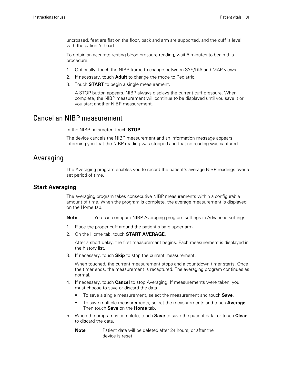uncrossed, feet are flat on the floor, back and arm are supported, and the cuff is level with the patient's heart.

To obtain an accurate resting blood pressure reading, wait 5 minutes to begin this procedure.

- 1. Optionally, touch the NIBP frame to change between SYS/DIA and MAP views.
- 2. If necessary, touch **Adult** to change the mode to Pediatric.
- 3. Touch **START** to begin a single measurement.

A STOP button appears. NIBP always displays the current cuff pressure. When complete, the NIBP measurement will continue to be displayed until you save it or you start another NIBP measurement.

#### Cancel an NIBP measurement

In the NIBP parameter, touch **STOP**.

The device cancels the NIBP measurement and an information message appears informing you that the NIBP reading was stopped and that no reading was captured.

#### Averaging

The Averaging program enables you to record the patient's average NIBP readings over a set period of time.

#### **Start Averaging**

The averaging program takes consecutive NIBP measurements within a configurable amount of time. When the program is complete, the average measurement is displayed on the Home tab.

**Note** You can configure NIBP Averaging program settings in Advanced settings.

- 1. Place the proper cuff around the patient's bare upper arm.
- 2. On the Home tab, touch **START AVERAGE**.

After a short delay, the first measurement begins. Each measurement is displayed in the history list.

3. If necessary, touch **Skip** to stop the current measurement.

When touched, the current measurement stops and a countdown timer starts. Once the timer ends, the measurement is recaptured. The averaging program continues as normal.

- 4. If necessary, touch **Cancel** to stop Averaging. If measurements were taken, you must choose to save or discard the data.
	- To save a single measurement, select the measurement and touch **Save**.
	- To save multiple measurements, select the measurements and touch **Average**. Then touch **Save** on the **Home** tab.
- 5. When the program is complete, touch **Save** to save the patient data, or touch **Clear** to discard the data.
	- **Note** Patient data will be deleted after 24 hours, or after the device is reset.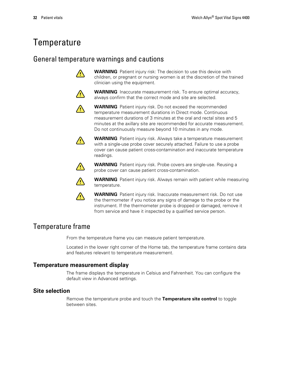# <span id="page-35-0"></span>**Temperature**

#### General temperature warnings and cautions



**WARNING** Patient injury risk: The decision to use this device with children, or pregnant or nursing women is at the discretion of the trained clinician using the equipment.



**WARNING** Inaccurate measurement risk. To ensure optimal accuracy, always confirm that the correct mode and site are selected.



**WARNING** Patient injury risk. Do not exceed the recommended temperature measurement durations in Direct mode. Continuous measurement durations of 3 minutes at the oral and rectal sites and 5 minutes at the axillary site are recommended for accurate measurement. Do not continuously measure beyond 10 minutes in any mode.



**WARNING** Patient injury risk. Always take a temperature measurement with a single-use probe cover securely attached. Failure to use a probe cover can cause patient cross-contamination and inaccurate temperature readings.



**WARNING** Patient injury risk. Probe covers are single-use. Reusing a probe cover can cause patient cross-contamination.



**WARNING** Patient injury risk. Always remain with patient while measuring temperature.



**WARNING** Patient injury risk. Inaccurate measurement risk. Do not use the thermometer if you notice any signs of damage to the probe or the instrument. If the thermometer probe is dropped or damaged, remove it from service and have it inspected by a qualified service person.

#### Temperature frame

From the temperature frame you can measure patient temperature.

Located in the lower right corner of the Home tab, the temperature frame contains data and features relevant to temperature measurement.

#### **Temperature measurement display**

The frame displays the temperature in Celsius and Fahrenheit. You can configure the default view in Advanced settings.

#### **Site selection**

Remove the temperature probe and touch the **Temperature site control** to toggle between sites.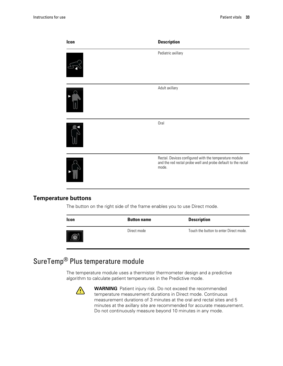| Icon | <b>Description</b>                                                                                                               |
|------|----------------------------------------------------------------------------------------------------------------------------------|
|      | Pediatric axillary                                                                                                               |
|      | Adult axillary                                                                                                                   |
|      | Oral                                                                                                                             |
|      | Rectal. Devices configured with the temperature module<br>and the red rectal probe well and probe default to the rectal<br>mode. |

#### **Temperature buttons**

The button on the right side of the frame enables you to use Direct mode.

| <b>Icon</b> | <b>Button name</b> | <b>Description</b>                     |
|-------------|--------------------|----------------------------------------|
|             | Direct mode        | Touch the button to enter Direct mode. |

# SureTemp® Plus temperature module

The temperature module uses a thermistor thermometer design and a predictive algorithm to calculate patient temperatures in the Predictive mode.



**WARNING** Patient injury risk. Do not exceed the recommended temperature measurement durations in Direct mode. Continuous measurement durations of 3 minutes at the oral and rectal sites and 5 minutes at the axillary site are recommended for accurate measurement. Do not continuously measure beyond 10 minutes in any mode.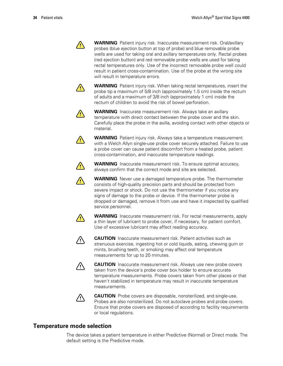$\sqrt{2}$ 

**WARNING** Patient injury risk. Inaccurate measurement risk. Oral/axillary probes (blue ejection button at top of probe) and blue removable probe wells are used for taking oral and axillary temperatures only. Rectal probes (red ejection button) and red removable probe wells are used for taking rectal temperatures only. Use of the incorrect removable probe well could result in patient cross-contamination. Use of the probe at the wrong site will result in temperature errors.



**WARNING** Patient injury risk. When taking rectal temperatures, insert the probe tip a maximum of 5/8 inch (approximately 1.5 cm) inside the rectum of adults and a maximum of 3/8 inch (approximately 1 cm) inside the rectum of children to avoid the risk of bowel perforation.



**WARNING** Inaccurate measurement risk. Always take an axillary temperature with direct contact between the probe cover and the skin. Carefully place the probe in the axilla, avoiding contact with other objects or material.



**WARNING** Patient injury risk. Always take a temperature measurement with a Welch Allyn single-use probe cover securely attached. Failure to use a probe cover can cause patient discomfort from a heated probe, patient cross-contamination, and inaccurate temperature readings.



**WARNING** Inaccurate measurement risk. To ensure optimal accuracy, always confirm that the correct mode and site are selected.



**WARNING** Never use a damaged temperature probe. The thermometer consists of high-quality precision parts and should be protected from severe impact or shock. Do not use the thermometer if you notice any signs of damage to the probe or device. If the thermometer probe is dropped or damaged, remove it from use and have it inspected by qualified



service personnel.

**WARNING** Inaccurate measurement risk. For rectal measurements, apply a thin layer of lubricant to probe cover, if necessary, for patient comfort. Use of excessive lubricant may affect reading accuracy.



**CAUTION** Inaccurate measurement risk. Patient activities such as strenuous exercise, ingesting hot or cold liquids, eating, chewing gum or mints, brushing teeth, or smoking may affect oral temperature measurements for up to 20 minutes.



**CAUTION** Inaccurate measurement risk. Always use new probe covers taken from the device's probe cover box holder to ensure accurate temperature measurements. Probe covers taken from other places or that haven't stabilized in temperature may result in inaccurate temperature measurements.



**CAUTION** Probe covers are disposable, nonsterilized, and single-use. Probes are also nonsterilized. Do not autoclave probes and probe covers. Ensure that probe covers are disposed of according to facility requirements or local regulations.

### **Temperature mode selection**

The device takes a patient temperature in either Predictive (Normal) or Direct mode. The default setting is the Predictive mode.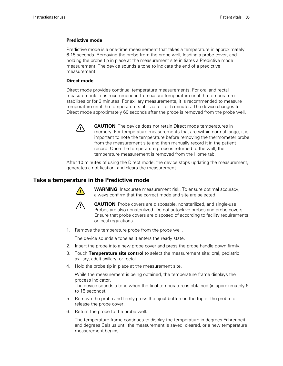#### **Predictive mode**

Predictive mode is a one-time measurement that takes a temperature in approximately 6-15 seconds. Removing the probe from the probe well, loading a probe cover, and holding the probe tip in place at the measurement site initiates a Predictive mode measurement. The device sounds a tone to indicate the end of a predictive measurement.

#### **Direct mode**

Direct mode provides continual temperature measurements. For oral and rectal measurements, it is recommended to measure temperature until the temperature stabilizes or for 3 minutes. For axillary measurements, it is recommended to measure temperature until the temperature stabilizes or for 5 minutes. The device changes to Direct mode approximately 60 seconds after the probe is removed from the probe well.



**CAUTION** The device does not retain Direct mode temperatures in memory. For temperature measurements that are within normal range, it is important to note the temperature before removing the thermometer probe from the measurement site and then manually record it in the patient record. Once the temperature probe is returned to the well, the temperature measurement is removed from the Home tab.

After 10 minutes of using the Direct mode, the device stops updating the measurement, generates a notification, and clears the measurement.

#### **Take a temperature in the Predictive mode**



**WARNING** Inaccurate measurement risk. To ensure optimal accuracy, always confirm that the correct mode and site are selected.



**CAUTION** Probe covers are disposable, nonsterilized, and single-use. Probes are also nonsterilized. Do not autoclave probes and probe covers. Ensure that probe covers are disposed of according to facility requirements or local regulations.

1. Remove the temperature probe from the probe well.

The device sounds a tone as it enters the ready state.

- 2. Insert the probe into a new probe cover and press the probe handle down firmly.
- 3. Touch **Temperature site control** to select the measurement site: oral, pediatric axillary, adult axillary, or rectal.
- 4. Hold the probe tip in place at the measurement site.

While the measurement is being obtained, the temperature frame displays the process indicator.

The device sounds a tone when the final temperature is obtained (in approximately 6 to 15 seconds).

- 5. Remove the probe and firmly press the eject button on the top of the probe to release the probe cover.
- 6. Return the probe to the probe well.

The temperature frame continues to display the temperature in degrees Fahrenheit and degrees Celsius until the measurement is saved, cleared, or a new temperature measurement begins.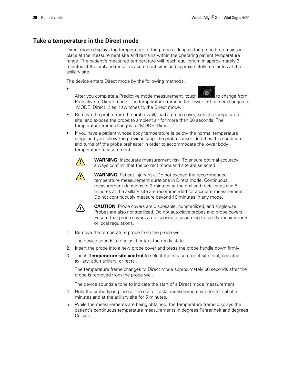### **Take a temperature in the Direct mode**

Direct mode displays the temperature of the probe as long as the probe tip remains in place at the measurement site and remains within the operating patient temperature range. The patient's measured temperature will reach equilibrium in approximately 3 minutes at the oral and rectal measurement sites and approximately 5 minutes at the axillary site.

The device enters Direct mode by the following methods.



After you complete a Predictive mode measurement, touch  $\Box$  to change from Predictive to Direct mode. The temperature frame in the lower-left corner changes to "MODE: Direct..." as it switches to the Direct mode.

- Remove the probe from the probe well, load a probe cover, select a temperature site, and expose the probe to ambient air for more than 60 seconds. The temperature frame changes to "MODE: Direct...".
- If you have a patient whose body temperature is below the normal temperature range and you follow the previous step, the probe sensor identifies this condition and turns off the probe preheater in order to accommodate the lower body temperature measurement.



•

**WARNING** Inaccurate measurement risk. To ensure optimal accuracy, always confirm that the correct mode and site are selected.



**WARNING** Patient injury risk. Do not exceed the recommended temperature measurement durations in Direct mode. Continuous measurement durations of 3 minutes at the oral and rectal sites and 5 minutes at the axillary site are recommended for accurate measurement. Do not continuously measure beyond 10 minutes in any mode.



**CAUTION** Probe covers are disposable, nonsterilized, and single-use. Probes are also nonsterilized. Do not autoclave probes and probe covers. Ensure that probe covers are disposed of according to facility requirements or local regulations.

1. Remove the temperature probe from the probe well.

The device sounds a tone as it enters the ready state.

- 2. Insert the probe into a new probe cover and press the probe handle down firmly.
- 3. Touch **Temperature site control** to select the measurement site: oral, pediatric axillary, adult axillary, or rectal.

The temperature frame changes to Direct mode approximately 60 seconds after the probe is removed from the probe well.

The device sounds a tone to indicate the start of a Direct mode measurement.

- 4. Hold the probe tip in place at the oral or rectal measurement site for a total of 3 minutes and at the axillary site for 5 minutes.
- 5. While the measurements are being obtained, the temperature frame displays the patient's continuous temperature measurements in degrees Fahrenheit and degrees Celsius.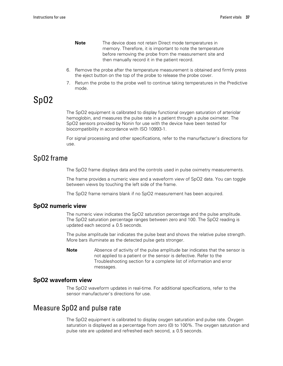- **Note** The device does not retain Direct mode temperatures in memory. Therefore, it is important to note the temperature before removing the probe from the measurement site and then manually record it in the patient record.
- 6. Remove the probe after the temperature measurement is obtained and firmly press the eject button on the top of the probe to release the probe cover.
- 7. Return the probe to the probe well to continue taking temperatures in the Predictive mode.

# SpO2

The SpO2 equipment is calibrated to display functional oxygen saturation of arteriolar hemoglobin, and measures the pulse rate in a patient through a pulse oximeter. The SpO2 sensors provided by Nonin for use with the device have been tested for biocompatibility in accordance with ISO 10993-1.

For signal processing and other specifications, refer to the manurfacturer's directions for use.

### SpO2 frame

The SpO2 frame displays data and the controls used in pulse oximetry measurements.

The frame provides a numeric view and a waveform view of SpO2 data. You can toggle between views by touching the left side of the frame.

The SpO2 frame remains blank if no SpO2 measurement has been acquired.

#### **SpO2 numeric view**

The numeric view indicates the SpO2 saturation percentage and the pulse amplitude. The SpO2 saturation percentage ranges between zero and 100. The SpO2 reading is updated each second  $\pm$  0.5 seconds.

The pulse amplitude bar indicates the pulse beat and shows the relative pulse strength. More bars illuminate as the detected pulse gets stronger.

**Note** Absence of activity of the pulse amplitude bar indicates that the sensor is not applied to a patient or the sensor is defective. Refer to the Troubleshooting section for a complete list of information and error messages.

#### **SpO2 waveform view**

The SpO2 waveform updates in real-time. For additional specifications, refer to the sensor manufacturer's directions for use.

### Measure SpO2 and pulse rate

The SpO2 equipment is calibrated to display oxygen saturation and pulse rate. Oxygen saturation is displayed as a percentage from zero (0) to 100%. The oxygen saturation and pulse rate are updated and refreshed each second,  $\pm$  0.5 seconds.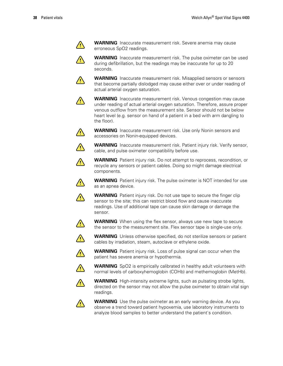

**WARNING** Inaccurate measurement risk. Severe anemia may cause erroneous SpO2 readings.

**WARNING** Inaccurate measurement risk. The pulse oximeter can be used during defibrillation, but the readings may be inaccurate for up to 20 seconds.



**WARNING** Inaccurate measurement risk. Misapplied sensors or sensors that become partially dislodged may cause either over or under reading of actual arterial oxygen saturation.



**WARNING** Inaccurate measurement risk. Venous congestion may cause under reading of actual arterial oxygen saturation. Therefore, assure proper venous outflow from the measurement site. Sensor should not be below heart level (e.g. sensor on hand of a patient in a bed with arm dangling to the floor).



**WARNING** Inaccurate measurement risk. Use only Nonin sensors and accessories on Nonin-equipped devices.



 $\sqrt{2}$ 

**WARNING** Inaccurate measurement risk. Patient injury risk. Verify sensor, cable, and pulse oximeter compatibility before use.

**WARNING** Patient injury risk. Do not attempt to reprocess, recondition, or recycle any sensors or patient cables. Doing so might damage electrical components.

**WARNING** Patient injury risk. The pulse oximeter is NOT intended for use as an apnea device.



 $\bigwedge$ 

**WARNING** Patient injury risk. Do not use tape to secure the finger clip sensor to the site; this can restrict blood flow and cause inaccurate readings. Use of additional tape can cause skin damage or damage the sensor.

**WARNING** When using the flex sensor, always use new tape to secure the sensor to the measurement site. Flex sensor tape is single-use only.



 $\sqrt{2}$ 

**WARNING** Unless otherwise specified, do not sterilize sensors or patient cables by irradiation, steam, autoclave or ethylene oxide.



**WARNING** Patient injury risk. Loss of pulse signal can occur when the patient has severe anemia or hypothermia.



**WARNING** SpO2 is empirically calibrated in healthy adult volunteers with normal levels of carboxyhemoglobin (COHb) and methemoglobin (MetHb).



**WARNING** High-intensity extreme lights, such as pulsating strobe lights, directed on the sensor may not allow the pulse oximeter to obtain vital sign readings.



**WARNING** Use the pulse oximeter as an early warning device. As you observe a trend toward patient hypoxemia, use laboratory instruments to analyze blood samples to better understand the patient's condition.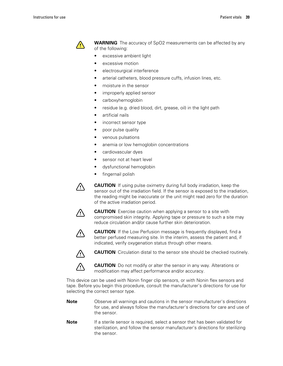

**WARNING** The accuracy of SpO2 measurements can be affected by any of the following:

- excessive ambient light
- excessive motion
- electrosurgical interference
- arterial catheters, blood pressure cuffs, infusion lines, etc.
- moisture in the sensor
- improperly applied sensor
- carboxyhemoglobin
- residue (e.g. dried blood, dirt, grease, oil) in the light path
- artificial nails
- incorrect sensor type
- poor pulse quality
- venous pulsations
- anemia or low hemoglobin concentrations
- cardiovascular dyes
- sensor not at heart level
- dysfunctional hemoglobin
- fingernail polish



**CAUTION** If using pulse oximetry during full body irradiation, keep the sensor out of the irradiation field. If the sensor is exposed to the irradiation, the reading might be inaccurate or the unit might read zero for the duration of the active irradiation period.



**CAUTION** Exercise caution when applying a sensor to a site with compromised skin integrity. Applying tape or pressure to such a site may reduce circulation and/or cause further skin deterioration.



**CAUTION** If the Low Perfusion message is frequently displayed, find a better perfused measuring site. In the interim, assess the patient and, if indicated, verify oxygenation status through other means.



**CAUTION** Circulation distal to the sensor site should be checked routinely.



**CAUTION** Do not modify or alter the sensor in any way. Alterations or modification may affect performance and/or accuracy.

This device can be used with Nonin finger clip sensors, or with Nonin flex sensors and tape. Before you begin this procedure, consult the manufacturer's directions for use for selecting the correct sensor type.

- **Note** Observe all warnings and cautions in the sensor manufacturer's directions for use, and always follow the manufacturer's directions for care and use of the sensor.
- **Note** If a sterile sensor is required, select a sensor that has been validated for sterilization, and follow the sensor manufacturer's directions for sterilizing the sensor.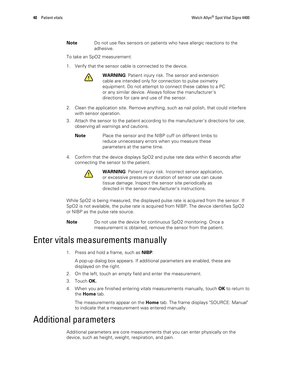**Note** Do not use flex sensors on patients who have allergic reactions to the adhesive.

To take an SpO2 measurement:

1. Verify that the sensor cable is connected to the device.



**WARNING** Patient injury risk. The sensor and extension cable are intended only for connection to pulse oximetry equipment. Do not attempt to connect these cables to a PC or any similar device. Always follow the manufacturer's directions for care and use of the sensor.

- 2. Clean the application site. Remove anything, such as nail polish, that could interfere with sensor operation.
- 3. Attach the sensor to the patient according to the manufacturer's directions for use, observing all warnings and cautions.

**Note** Place the sensor and the NIBP cuff on different limbs to reduce unnecessary errors when you measure these parameters at the same time.

4. Confirm that the device displays SpO2 and pulse rate data within 6 seconds after connecting the sensor to the patient.



**WARNING** Patient injury risk. Incorrect sensor application, or excessive pressure or duration of sensor use can cause tissue damage. Inspect the sensor site periodically as directed in the sensor manufacturer's instructions.

While SpO2 is being measured, the displayed pulse rate is acquired from the sensor. If SpO2 is not available, the pulse rate is acquired from NIBP. The device identifies SpO2 or NIBP as the pulse rate source.

**Note** Do not use the device for continuous SpO2 monitoring. Once a measurement is obtained, remove the sensor from the patient.

## Enter vitals measurements manually

1. Press and hold a frame, such as **NIBP**.

A pop-up dialog box appears. If additional parameters are enabled, these are displayed on the right.

- 2. On the left, touch an empty field and enter the measurement.
- 3. Touch **OK.**
- 4. When you are finished entering vitals measurements manually, touch **OK** to return to the **Home** tab.

The measurements appear on the **Home** tab. The frame displays "SOURCE: Manual" to indicate that a measurement was entered manually.

## Additional parameters

Additional parameters are core measurements that you can enter physically on the device, such as height, weight, respiration, and pain.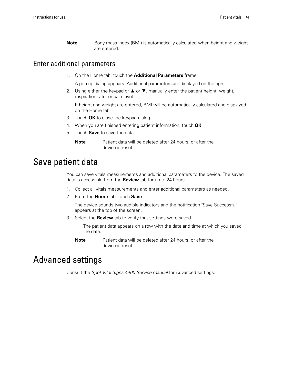**Note** Body mass index (BMI) is automatically calculated when height and weight are entered.

### Enter additional parameters

1. On the Home tab, touch the **Additional Parameters** frame.

A pop-up dialog appears. Additional parameters are displayed on the right.

2. Using either the keypad or  $\blacktriangle$  or  $\nabla$ , manually enter the patient height, weight, respiration rate, or pain level.

If height and weight are entered, BMI will be automatically calculated and displayed on the Home tab.

- 3. Touch **OK** to close the keypad dialog.
- 4. When you are finished entering patient information, touch **OK**.
- 5. Touch **Save** to save the data.

**Note** Patient data will be deleted after 24 hours, or after the device is reset.

## Save patient data

You can save vitals measurements and additional parameters to the device. The saved data is accessible from the **Review** tab for up to 24 hours.

- 1. Collect all vitals measurements and enter additional parameters as needed.
- 2. From the **Home** tab, touch **Save**.

The device sounds two audible indicators and the notification "Save Successful" appears at the top of the screen.

3. Select the **Review** tab to verify that settings were saved.

The patient data appears on a row with the date and time at which you saved the data.

**Note** Patient data will be deleted after 24 hours, or after the device is reset.

## Advanced settings

Consult the *Spot Vital Signs 4400 Service manual* for Advanced settings.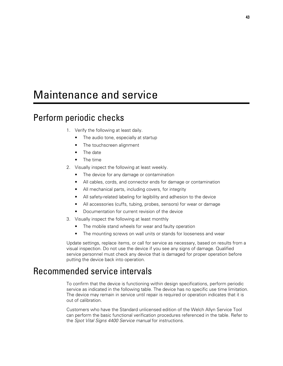# Maintenance and service

# Perform periodic checks

- 1. Verify the following at least daily.
	- The audio tone, especially at startup
	- The touchscreen alignment
	- The date
	- The time
- 2. Visually inspect the following at least weekly.
	- The device for any damage or contamination
	- All cables, cords, and connector ends for damage or contamination
	- All mechanical parts, including covers, for integrity
	- All safety-related labeling for legibility and adhesion to the device
	- All accessories (cuffs, tubing, probes, sensors) for wear or damage
	- Documentation for current revision of the device
- 3. Visually inspect the following at least monthly
	- The mobile stand wheels for wear and faulty operation
	- The mounting screws on wall units or stands for looseness and wear

Update settings, replace items, or call for service as necessary, based on results from a visual inspection. Do not use the device if you see any signs of damage. Qualified service personnel must check any device that is damaged for proper operation before putting the device back into operation.

## Recommended service intervals

To confirm that the device is functioning within design specifications, perform periodic service as indicated in the following table. The device has no specific use time limitation. The device may remain in service until repair is required or operation indicates that it is out of calibration.

Customers who have the Standard unlicensed edition of the Welch Allyn Service Tool can perform the basic functional verification procedures referenced in the table. Refer to the *Spot Vital Signs 4400 Service manual* for instructions.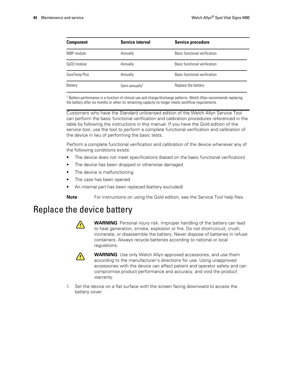| <b>Component</b>        | <b>Service interval</b>    | <b>Service procedure</b>      |
|-------------------------|----------------------------|-------------------------------|
| NIBP module             | Annually                   | Basic functional verification |
| SpO <sub>2</sub> module | Annually                   | Basic functional verification |
| SureTemp Plus           | Annually                   | Basic functional verification |
| Battery                 | Semi-annually <sup>1</sup> | Replace the battery           |

<sup>1</sup> Battery performance is a function of clinical use and charge/discharge patterns. Welch Allyn recommends replacing the battery after six months or when its remaining capacity no longer meets workflow requirements.

Customers who have the Standard unlicensed edition of the Welch Allyn Service Tool can perform the basic functional verification and calibration procedures referenced in the table by following the instructions in this manual. If you have the Gold edition of the service tool, use the tool to perform a complete functional verification and calibration of the device in lieu of performing the basic tests.

Perform a complete functional verification and calibration of the device whenever any of the following conditions exists:

- The device does not meet specifications (based on the basic functional verification)
- The device has been dropped or otherwise damaged
- The device is malfunctioning
- The case has been opened
- An internal part has been replaced (battery excluded)

**Note** For instructions on using the Gold edition, see the Service Tool help files.

## Replace the device battery



**WARNING** Personal injury risk. Improper handling of the battery can lead to heat generation, smoke, explosion or fire. Do not short-circuit, crush, incinerate, or disassemble the battery. Never dispose of batteries in refuse containers. Always recycle batteries according to national or local regulations.



**WARNING** Use only Welch Allyn approved accessories, and use them according to the manufacturer's directions for use. Using unapproved accessories with the device can affect patient and operator safety and can compromise product performance and accuracy, and void the product warranty.

1. Set the device on a flat surface with the screen facing downward to access the battery cover.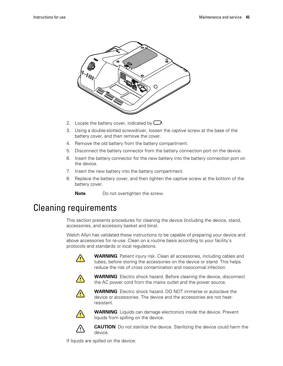

- 2. Locate the battery cover, indicated by  $\Box$ .
- 3. Using a double-slotted screwdriver, loosen the captive screw at the base of the battery cover, and then remove the cover.
- 4. Remove the old battery from the battery compartment.
- 5. Disconnect the battery connector from the battery connection port on the device.
- 6. Insert the battery connector for the new battery into the battery connection port on the device.
- 7. Insert the new battery into the battery compartment.
- 8. Replace the battery cover, and then tighten the captive screw at the bottom of the battery cover.

**Note** Do not overtighten the screw.

## Cleaning requirements

This section presents procedures for cleaning the device (including the device, stand, accessories, and accessory basket and bins).

Welch Allyn has validated these instructions to be capable of preparing your device and above accessories for re-use. Clean on a routine basis according to your facility's protocols and standards or local regulations.



**WARNING** Patient injury risk. Clean all accessories, including cables and tubes, before storing the accessories on the device or stand. This helps reduce the risk of cross contamination and nosocomial infection.



**WARNING** Electric shock hazard. Before cleaning the device, disconnect the AC power cord from the mains outlet and the power source.



**WARNING** Electric shock hazard. DO NOT immerse or autoclave the device or accessories. The device and the accessories are not heatresistant.



**WARNING** Liquids can damage electronics inside the device. Prevent liquids from spilling on the device.



**CAUTION** Do not sterilize the device. Sterilizing the device could harm the device.

If liquids are spilled on the device: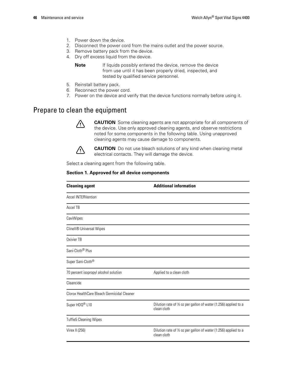- 1. Power down the device.
- 2. Disconnect the power cord from the mains outlet and the power source.
- 3. Remove battery pack from the device.
- 4. Dry off excess liquid from the device.

**Note** If liquids possibly entered the device, remove the device from use until it has been properly dried, inspected, and tested by qualified service personnel.

- 5. Reinstall battery pack.
- 6. Reconnect the power cord.
- 7. Power on the device and verify that the device functions normally before using it.

## Prepare to clean the equipment



**CAUTION** Some cleaning agents are not appropriate for all components of the device. Use only approved cleaning agents, and observe restrictions noted for some components in the following table. Using unapproved cleaning agents may cause damage to components.



**CAUTION** Do not use bleach solutions of any kind when cleaning metal electrical contacts. They will damage the device.

Select a cleaning agent from the following table.

#### **Section 1. Approved for all device components**

| <b>Cleaning agent</b>                       | <b>Additional information</b>                                                   |
|---------------------------------------------|---------------------------------------------------------------------------------|
| <b>Accel INTERVention</b>                   |                                                                                 |
| Accel TB                                    |                                                                                 |
| CaviWipes                                   |                                                                                 |
| Clinell <sup>®</sup> Universal Wipes        |                                                                                 |
| Oxivier TB                                  |                                                                                 |
| Sani-Cloth <sup>®</sup> Plus                |                                                                                 |
| Super Sani-Cloth®                           |                                                                                 |
| 70 percent isopropyl alcohol solution       | Applied to a clean cloth                                                        |
| Cleancide                                   |                                                                                 |
| Clorox HealthCare Bleach Germicidal Cleaner |                                                                                 |
| Super HDQ <sup>®</sup> L10                  | Dilution rate of 1/2 oz per gallon of water (1:256) applied to a<br>clean cloth |
| <b>Tuffie5 Cleaning Wipes</b>               |                                                                                 |
| Virex II (256)                              | Dilution rate of 1/2 oz per gallon of water (1:256) applied to a<br>clean cloth |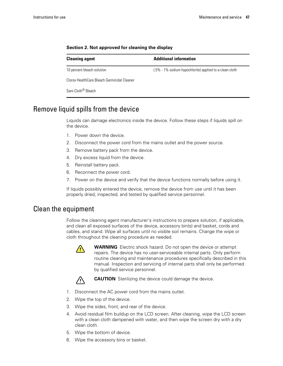| <b>Cleaning agent</b>                       | <b>Additional information</b>                           |  |
|---------------------------------------------|---------------------------------------------------------|--|
| 10 percent bleach solution                  | (.5% - 1% sodium hypochlorite) applied to a clean cloth |  |
| Clorox HealthCare Bleach Germicidal Cleaner |                                                         |  |
| Sani-Cloth <sup>®</sup> Bleach              |                                                         |  |

#### **Section 2. Not approved for cleaning the display**

## Remove liquid spills from the device

Liquids can damage electronics inside the device. Follow these steps if liquids spill on the device.

- 1. Power down the device.
- 2. Disconnect the power cord from the mains outlet and the power source.
- 3. Remove battery pack from the device.
- 4. Dry excess liquid from the device.
- 5. Reinstall battery pack.
- 6. Reconnect the power cord.
- 7. Power on the device and verify that the device functions normally before using it.

If liquids possibly entered the device, remove the device from use until it has been properly dried, inspected, and tested by qualified service personnel.

### Clean the equipment

Follow the cleaning agent manufacturer's instructions to prepare solution, if applicable, and clean all exposed surfaces of the device, accessory bin(s) and basket, cords and cables, and stand. Wipe all surfaces until no visible soil remains. Change the wipe or cloth throughout the cleaning procedure as needed.



**WARNING** Electric shock hazard. Do not open the device or attempt repairs. The device has no user-serviceable internal parts. Only perform routine cleaning and maintenance procedures specifically described in this manual. Inspection and servicing of internal parts shall only be performed by qualified service personnel.



**CAUTION** Sterilizing the device could damage the device.

- 1. Disconnect the AC power cord from the mains outlet.
- 2. Wipe the top of the device.
- 3. Wipe the sides, front, and rear of the device.
- 4. Avoid residual film buildup on the LCD screen. After cleaning, wipe the LCD screen with a clean cloth dampened with water, and then wipe the screen dry with a dry clean cloth.
- 5. Wipe the bottom of device.
- 6. Wipe the accessory bins or basket.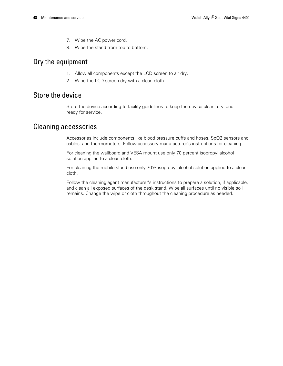- 7. Wipe the AC power cord.
- 8. Wipe the stand from top to bottom.

### Dry the equipment

- 1. Allow all components except the LCD screen to air dry.
- 2. Wipe the LCD screen dry with a clean cloth.

### Store the device

Store the device according to facility guidelines to keep the device clean, dry, and ready for service.

### Cleaning accessories

Accessories include components like blood pressure cuffs and hoses, SpO2 sensors and cables, and thermometers. Follow accessory manufacturer's instructions for cleaning.

For cleaning the wallboard and VESA mount use only 70 percent isopropyl alcohol solution applied to a clean cloth.

For cleaning the mobile stand use only 70% isopropyl alcohol solution applied to a clean cloth.

Follow the cleaning agent manufacturer's instructions to prepare a solution, if applicable, and clean all exposed surfaces of the desk stand. Wipe all surfaces until no visible soil remains. Change the wipe or cloth throughout the cleaning procedure as needed.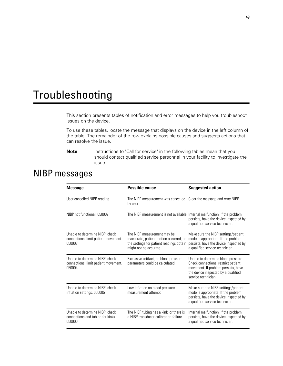# Troubleshooting

This section presents tables of notification and error messages to help you troubleshoot issues on the device.

To use these tables, locate the message that displays on the device in the left column of the table. The remainder of the row explains possible causes and suggests actions that can resolve the issue.

**Note** Instructions to "Call for service" in the following tables mean that you should contact qualified service personnel in your facility to investigate the issue.

# NIBP messages

| <b>Message</b>                                                                    | <b>Possible cause</b>                                                                                                                       | <b>Suggested action</b>                                                                                                                                                         |
|-----------------------------------------------------------------------------------|---------------------------------------------------------------------------------------------------------------------------------------------|---------------------------------------------------------------------------------------------------------------------------------------------------------------------------------|
| User cancelled NIBP reading.                                                      | The NIBP measurement was cancelled Clear the message and retry NIBP.<br>by user                                                             |                                                                                                                                                                                 |
| NIBP not functional, 050002                                                       | The NIBP measurement is not available Internal malfunction. If the problem                                                                  | persists, have the device inspected by<br>a qualified service technician.                                                                                                       |
| Unable to determine NIBP; check<br>connections; limit patient movement.<br>050003 | The NIBP measurement may be<br>inaccurate, patient motion occurred, or<br>the settings for patient readings obtain<br>might not be accurate | Make sure the NIBP settings/patient<br>mode is appropriate. If the problem<br>persists, have the device inspected by<br>a qualified service technician.                         |
| Unable to determine NIBP; check<br>connections; limit patient movement.<br>050004 | Excessive artifact, no blood pressure<br>parameters could be calculated                                                                     | Unable to determine blood pressure.<br>Check connections; restrict patient<br>movement. If problem persists, have<br>the device inspected by a qualified<br>service technician. |
| Unable to determine NIBP; check<br>inflation settings. 050005                     | Low inflation on blood pressure<br>measurement attempt                                                                                      | Make sure the NIBP settings/patient<br>mode is appropriate. If the problem<br>persists, have the device inspected by<br>a qualified service technician.                         |
| Unable to determine NIBP; check<br>connections and tubing for kinks.<br>050006    | The NIBP tubing has a kink, or there is<br>a NIBP transducer calibration failure                                                            | Internal malfunction. If the problem<br>persists, have the device inspected by<br>a qualified service technician.                                                               |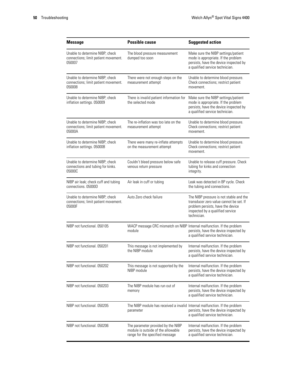| <b>Message</b>                                                                    | <b>Possible cause</b>                                                                                       | <b>Suggested action</b>                                                                                                                                                    |
|-----------------------------------------------------------------------------------|-------------------------------------------------------------------------------------------------------------|----------------------------------------------------------------------------------------------------------------------------------------------------------------------------|
| Unable to determine NIBP; check<br>connections; limit patient movement.<br>050007 | The blood pressure measurement<br>dumped too soon                                                           | Make sure the NIBP settings/patient<br>mode is appropriate. If the problem<br>persists, have the device inspected by<br>a qualified service technician.                    |
| Unable to determine NIBP; check<br>connections; limit patient movement.<br>050008 | There were not enough steps on the<br>measurement attempt                                                   | Unable to determine blood pressure.<br>Check connections; restrict patient<br>movement.                                                                                    |
| Unable to determine NIBP; check<br>inflation settings. 050009                     | There is invalid patient information for<br>the selected mode                                               | Make sure the NIBP settings/patient<br>mode is appropriate. If the problem<br>persists, have the device inspected by<br>a qualified service technician.                    |
| Unable to determine NIBP; check<br>connections; limit patient movement.<br>05000A | The re-inflation was too late on the<br>measurement attempt                                                 | Unable to determine blood pressure.<br>Check connections; restrict patient<br>movement.                                                                                    |
| Unable to determine NIBP; check<br>inflation settings. 05000B                     | There were many re-inflate attempts<br>on the measurement attempt                                           | Unable to determine blood pressure.<br>Check connections; restrict patient<br>movement.                                                                                    |
| Unable to determine NIBP; check<br>connections and tubing for kinks.<br>05000C    | Couldn't bleed pressure below safe<br>venous return pressure                                                | Unable to release cuff pressure. Check<br>tubing for kinks and connection<br>integrity.                                                                                    |
| NIBP air leak; check cuff and tubing<br>connections. 05000D                       | Air leak in cuff or tubing                                                                                  | Leak was detected in BP cycle. Check<br>the tubing and connections.                                                                                                        |
| Unable to determine NIBP; check<br>connections; limit patient movement.<br>05000F | Auto Zero check failure                                                                                     | The NIBP pressure is not stable and the<br>transducer zero value cannot be set. If<br>problem persists, have the device<br>inspected by a qualified service<br>technician. |
| NIBP not functional. 050105                                                       | WACP message CRC mismatch on NIBP Internal malfunction. If the problem<br>module                            | persists, have the device inspected by<br>a qualified service technician.                                                                                                  |
| NIBP not functional. 050201                                                       | This message is not implemented by<br>the NIBP module                                                       | Internal malfunction. If the problem<br>persists, have the device inspected by<br>a qualified service technician.                                                          |
| NIBP not functional. 050202                                                       | This message is not supported by the<br>NIBP module                                                         | Internal malfunction. If the problem<br>persists, have the device inspected by<br>a qualified service technician.                                                          |
| NIBP not functional. 050203                                                       | The NIBP module has run out of<br>memory                                                                    | Internal malfunction. If the problem<br>persists, have the device inspected by<br>a qualified service technician.                                                          |
| NIBP not functional, 050205                                                       | The NIBP module has received a invalid Internal malfunction. If the problem<br>parameter                    | persists, have the device inspected by<br>a qualified service technician.                                                                                                  |
| NIBP not functional. 050206                                                       | The parameter provided by the NIBP<br>module is outside of the allowable<br>range for the specified message | Internal malfunction. If the problem<br>persists, have the device inspected by<br>a qualified service technician.                                                          |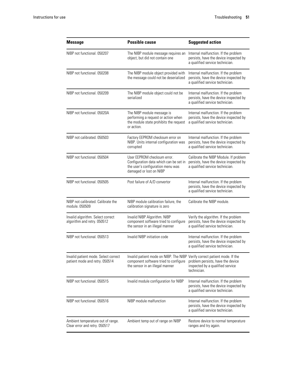| <b>Message</b>                                                         | <b>Possible cause</b>                                                                                                                                  | <b>Suggested action</b>                                                                                            |
|------------------------------------------------------------------------|--------------------------------------------------------------------------------------------------------------------------------------------------------|--------------------------------------------------------------------------------------------------------------------|
| NIBP not functional, 050207                                            | The NIBP module message requires an<br>object, but did not contain one                                                                                 | Internal malfunction. If the problem<br>persists, have the device inspected by<br>a qualified service technician.  |
| NIBP not functional. 050208                                            | The NIBP module object provided with<br>the message could not be deserialized                                                                          | Internal malfunction. If the problem<br>persists, have the device inspected by<br>a qualified service technician.  |
| NIBP not functional, 050209                                            | The NIBP module object could not be<br>serialized                                                                                                      | Internal malfunction. If the problem<br>persists, have the device inspected by<br>a qualified service technician.  |
| NIBP not functional. 05020A                                            | The NIBP module message is<br>performing a request or action when<br>the module state prohibits the request<br>or action.                              | Internal malfunction. If the problem<br>persists, have the device inspected by<br>a qualified service technician.  |
| NIBP not calibrated. 050503                                            | Factory EEPROM checksum error on<br>NIBP. Units internal configuration was<br>corrupted                                                                | Internal malfunction. If the problem<br>persists, have the device inspected by<br>a qualified service technician.  |
| NIBP not functional. 050504                                            | User EEPROM checksum error.<br>Configuration data which can be set in<br>the user's configuration menu was<br>damaged or lost on NIBP                  | Calibrate the NIBP Module. If problem<br>persists, have the device inspected by<br>a qualified service technician. |
| NIBP not functional. 050505                                            | Post failure of A/D convertor                                                                                                                          | Internal malfunction. If the problem<br>persists, have the device inspected by<br>a qualified service technician.  |
| NIBP not calibrated. Calibrate the<br>module, 050509                   | NIBP module calibration failure, the<br>calibration signature is zero                                                                                  | Calibrate the NIBP module.                                                                                         |
| Invalid algorithm. Select correct<br>algorithm and retry. 050512       | Invalid NIBP Algorithm. NIBP<br>component software tried to configure<br>the sensor in an illegal manner                                               | Verify the algorithm. If the problem<br>persists, have the device inspected by<br>a qualified service technician.  |
| NIBP not functional. 050513                                            | Invalid NIBP initiation code                                                                                                                           | Internal malfunction. If the problem<br>persists, have the device inspected by<br>a qualified service technician.  |
| Invalid patient mode. Select correct<br>patient mode and retry. 050514 | Invalid patient mode on NIBP. The NIBP Verify correct patient mode. If the<br>component software tried to configure<br>the sensor in an illegal manner | problem persists, have the device<br>inspected by a qualified service<br>technician.                               |
| NIBP not functional. 050515                                            | Invalid module configuration for NIBP                                                                                                                  | Internal malfunction. If the problem<br>persists, have the device inspected by<br>a qualified service technician.  |
| NIBP not functional. 050516                                            | NIBP module malfunction                                                                                                                                | Internal malfunction. If the problem<br>persists, have the device inspected by<br>a qualified service technician.  |
| Ambient temperature out of range.<br>Clear error and retry. 050517     | Ambient temp out of range on NIBP                                                                                                                      | Restore device to normal temperature<br>ranges and try again.                                                      |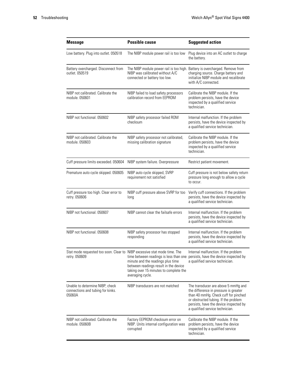| <b>Message</b>                                                                             | <b>Possible cause</b>                                                                                                                                                              | <b>Suggested action</b>                                                                                                                                                                                                                   |
|--------------------------------------------------------------------------------------------|------------------------------------------------------------------------------------------------------------------------------------------------------------------------------------|-------------------------------------------------------------------------------------------------------------------------------------------------------------------------------------------------------------------------------------------|
| Low battery. Plug into outlet. 050518                                                      | The NIBP module power rail is too low                                                                                                                                              | Plug device into an AC outlet to charge<br>the battery.                                                                                                                                                                                   |
| Battery overcharged. Disconnect from<br>outlet. 050519                                     | The NIBP module power rail is too high. Battery is overcharged. Remove from<br>NIBP was calibrated without A/C<br>connected or battery too low.                                    | charging source. Charge battery and<br>initialize NIBP module and recalibrate<br>with A/C connected.                                                                                                                                      |
| NIBP not calibrated. Calibrate the<br>module, 050601                                       | NIBP failed to load safety processors<br>calibration record from EEPROM                                                                                                            | Calibrate the NIBP module. If the<br>problem persists, have the device<br>inspected by a qualified service<br>technician.                                                                                                                 |
| NIBP not functional. 050602                                                                | NIBP safety processor failed ROM<br>checksum                                                                                                                                       | Internal malfunction. If the problem<br>persists, have the device inspected by<br>a qualified service technician.                                                                                                                         |
| NIBP not calibrated. Calibrate the<br>module, 050603                                       | NIBP safety processor not calibrated,<br>missing calibration signature                                                                                                             | Calibrate the NIBP module. If the<br>problem persists, have the device<br>inspected by a qualified service<br>technician.                                                                                                                 |
| Cuff pressure limits exceeded. 050604                                                      | NIBP system failure. Overpressure                                                                                                                                                  | Restrict patient movement.                                                                                                                                                                                                                |
| Premature auto cycle skipped. 050605                                                       | NIBP auto cycle skipped, SVRP<br>requirement not satisfied                                                                                                                         | Cuff pressure is not below safety return<br>pressure long enough to allow a cycle<br>to occur.                                                                                                                                            |
| Cuff pressure too high. Clear error to<br>retry. 050606                                    | NIBP cuff pressure above SVRP for too<br>long                                                                                                                                      | Verify cuff connections. If the problem<br>persists, have the device inspected by<br>a qualified service technician.                                                                                                                      |
| NIBP not functional. 050607                                                                | NIBP cannot clear the failsafe errors                                                                                                                                              | Internal malfunction. If the problem<br>persists, have the device inspected by<br>a qualified service technician.                                                                                                                         |
| NIBP not functional. 050608                                                                | NIBP safety processor has stopped<br>responding                                                                                                                                    | Internal malfunction. If the problem<br>persists, have the device inspected by<br>a qualified service technician.                                                                                                                         |
| Stat mode requested too soon. Clear to NIBP excessive stat mode time. The<br>retry. 050609 | time between readings is less than one<br>minute and the readings plus time<br>between readings result in the device<br>taking over 15 minutes to complete the<br>averaging cycle. | Internal malfunction. If the problem<br>persists, have the device inspected by<br>a qualified service technician.                                                                                                                         |
| Unable to determine NIBP; check<br>connections and tubing for kinks.<br>05060A             | NIBP transducers are not matched                                                                                                                                                   | The transducer are above 5 mmHg and<br>the difference in pressure is greater<br>than 40 mmHg. Check cuff for pinched<br>or obstructed tubing. If the problem<br>persists, have the device inspected by<br>a qualified service technician. |
| NIBP not calibrated. Calibrate the<br>module, 05060B                                       | Factory EEPROM checksum error on<br>NIBP. Units internal configuration was<br>corrupted                                                                                            | Calibrate the NIBP module. If the<br>problem persists, have the device<br>inspected by a qualified service<br>technician.                                                                                                                 |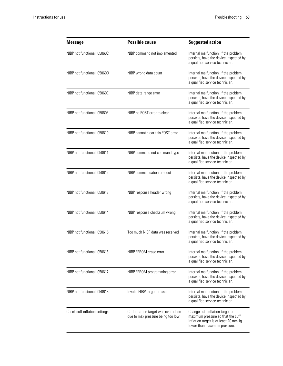| <b>Message</b>                 | <b>Possible cause</b>                                                     | <b>Suggested action</b>                                                                                                                      |
|--------------------------------|---------------------------------------------------------------------------|----------------------------------------------------------------------------------------------------------------------------------------------|
| NIBP not functional, 05060C    | NIBP command not implemented                                              | Internal malfunction. If the problem<br>persists, have the device inspected by<br>a qualified service technician.                            |
| NIBP not functional. 05060D    | NIBP wrong data count                                                     | Internal malfunction. If the problem<br>persists, have the device inspected by<br>a qualified service technician.                            |
| NIBP not functional. 05060E    | NIBP data range error                                                     | Internal malfunction. If the problem<br>persists, have the device inspected by<br>a qualified service technician.                            |
| NIBP not functional. 05060F    | NIBP no POST error to clear                                               | Internal malfunction. If the problem<br>persists, have the device inspected by<br>a qualified service technician.                            |
| NIBP not functional. 050610    | NIBP cannot clear this POST error                                         | Internal malfunction. If the problem<br>persists, have the device inspected by<br>a qualified service technician.                            |
| NIBP not functional. 050611    | NIBP command not command type                                             | Internal malfunction. If the problem<br>persists, have the device inspected by<br>a qualified service technician.                            |
| NIBP not functional. 050612    | NIBP communication timeout                                                | Internal malfunction. If the problem<br>persists, have the device inspected by<br>a qualified service technician                             |
| NIBP not functional. 050613    | NIBP response header wrong                                                | Internal malfunction. If the problem<br>persists, have the device inspected by<br>a qualified service technician.                            |
| NIBP not functional. 050614    | NIBP response checksum wrong                                              | Internal malfunction. If the problem<br>persists, have the device inspected by<br>a qualified service technician.                            |
| NIBP not functional 050615     | Too much NIBP data was received                                           | Internal malfunction. If the problem<br>persists, have the device inspected by<br>a qualified service technician.                            |
| NIBP not functional, 050616    | NIBP FPROM erase error                                                    | Internal malfunction. If the problem<br>persists, have the device inspected by<br>a qualified service technician.                            |
| NIBP not functional. 050617    | NIBP FPROM programming error                                              | Internal malfunction. If the problem<br>persists, have the device inspected by<br>a qualified service technician.                            |
| NIBP not functional, 050618    | Invalid NIBP target pressure                                              | Internal malfunction. If the problem<br>persists, have the device inspected by<br>a qualified service technician.                            |
| Check cuff inflation settings. | Cuff inflation target was overridden<br>due to max pressure being too low | Change cuff inflation target or<br>maximum pressure so that the cuff<br>inflation target is at least 20 mmHg<br>lower than maximum pressure. |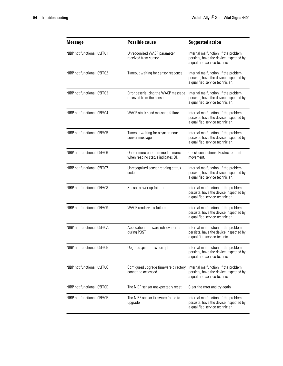| <b>Message</b>              | <b>Possible cause</b>                                                 | <b>Suggested action</b>                                                                                           |
|-----------------------------|-----------------------------------------------------------------------|-------------------------------------------------------------------------------------------------------------------|
| NIBP not functional. 05FF01 | Unrecognized WACP parameter<br>received from sensor                   | Internal malfunction. If the problem<br>persists, have the device inspected by<br>a qualified service technician. |
| NIBP not functional. 05FF02 | Timeout waiting for sensor response                                   | Internal malfunction. If the problem<br>persists, have the device inspected by<br>a qualified service technician. |
| NIBP not functional, 05FF03 | Error deserializing the WACP message<br>received from the sensor      | Internal malfunction. If the problem<br>persists, have the device inspected by<br>a qualified service technician. |
| NIBP not functional. 05FF04 | WACP stack send message failure                                       | Internal malfunction. If the problem<br>persists, have the device inspected by<br>a qualified service technician. |
| NIBP not functional. 05FF05 | Timeout waiting for asynchronous<br>sensor message                    | Internal malfunction. If the problem<br>persists, have the device inspected by<br>a qualified service technician. |
| NIBP not functional 05FF06  | One or more undetermined numerics<br>when reading status indicates OK | Check connections. Restrict patient<br>movement.                                                                  |
| NIBP not functional, 05FF07 | Unrecognized sensor reading status<br>code                            | Internal malfunction. If the problem<br>persists, have the device inspected by<br>a qualified service technician. |
| NIBP not functional. 05FF08 | Sensor power up failure                                               | Internal malfunction. If the problem<br>persists, have the device inspected by<br>a qualified service technician. |
| NIBP not functional, 05FF09 | WACP rendezvous failure                                               | Internal malfunction. If the problem<br>persists, have the device inspected by<br>a qualified service technician. |
| NIBP not functional, 05FF0A | Application firmware retrieval error<br>during POST                   | Internal malfunction. If the problem<br>persists, have the device inspected by<br>a qualified service technician. |
| NIBP not functional. 05FF0B | Upgrade .pim file is corrupt                                          | Internal malfunction. If the problem<br>persists, have the device inspected by<br>a qualified service technician. |
| NIBP not functional. 05FF0C | Configured upgrade firmware directory<br>cannot be accessed           | Internal malfunction. If the problem<br>persists, have the device inspected by<br>a qualified service technician. |
| NIBP not functional. 05FF0E | The NIBP sensor unexpectedly reset                                    | Clear the error and try again                                                                                     |
| NIBP not functional. 05FF0F | The NIBP sensor firmware failed to<br>upgrade                         | Internal malfunction. If the problem<br>persists, have the device inspected by<br>a qualified service technician. |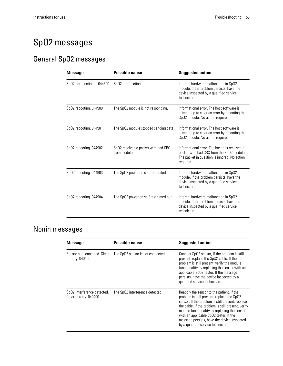# SpO2 messages

## General SpO2 messages

| <b>Message</b>              | <b>Possible cause</b>                              | <b>Suggested action</b>                                                                                                                                |
|-----------------------------|----------------------------------------------------|--------------------------------------------------------------------------------------------------------------------------------------------------------|
| SpO2 not functional. 044800 | SpO2 not functional                                | Internal hardware malfunction in SpO2<br>module. If the problem persists, have the<br>device inspected by a qualified service<br>technician.           |
| SpO2 rebooting. 044900      | The SpO2 module is not responding.                 | Informational error. The host software is<br>attempting to clear an error by rebooting the<br>SpO2 module. No action required.                         |
| SpO2 rebooting. 044901      | The SpO2 module stopped sending data               | Informational error. The host software is<br>attempting to clear an error by rebooting the<br>Sp02 module. No action required.                         |
| Sp02 rebooting. 044902      | SpO2 received a packet with bad CRC<br>from module | Informational error. The host has received a<br>packet with bad CRC from the SpO2 module.<br>The packet in question is ignored. No action<br>required. |
| SpO2 rebooting. 044903      | The SpO2 power on self test failed                 | Internal hardware malfunction in SpO2<br>module. If the problem persists, have the<br>device inspected by a qualified service<br>technician.           |
| Sp02 rebooting. 044904      | The SpO2 power on self test timed out              | Internal hardware malfunction in SpO2<br>module. If the problem persists, have the<br>device inspected by a qualified service<br>technician.           |

# Nonin messages

| <b>Message</b>                                        | <b>Possible cause</b>            | <b>Suggested action</b>                                                                                                                                                                                                                                                                                                                                                          |
|-------------------------------------------------------|----------------------------------|----------------------------------------------------------------------------------------------------------------------------------------------------------------------------------------------------------------------------------------------------------------------------------------------------------------------------------------------------------------------------------|
| Sensor not connected. Clear<br>to retry. 040100       | The SpO2 sensor is not connected | Connect SpO2 sensor, if the problem is still<br>present, replace the SpO2 cable. If the<br>problem is still present, verify the module<br>functionality by replacing the sensor with an<br>applicable SpO2 tester. If the message<br>persists, have the device inspected by a<br>qualified service technician.                                                                   |
| SpO2 interference detected.<br>Clear to retry. 040400 | The SpO2 interference detected.  | Reapply the sensor to the patient. If the<br>problem is still present, replace the SpO2<br>sensor. If the problem is still present, replace<br>the cable. If the problem is still present, verify<br>module functionality by replacing the sensor<br>with an applicable SpO2 tester. If the<br>message persists, have the device inspected<br>by a qualified service technician. |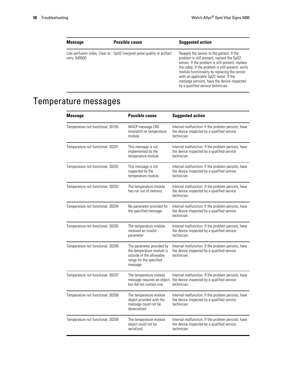| <b>Message</b> | <b>Possible cause</b>                                                 | <b>Suggested action</b>                                                                                                                                                                                                                                                                                                                                                          |
|----------------|-----------------------------------------------------------------------|----------------------------------------------------------------------------------------------------------------------------------------------------------------------------------------------------------------------------------------------------------------------------------------------------------------------------------------------------------------------------------|
| retry. 040500  | Low perfusion index. Clear to SpO2 marginal pulse quality or artifact | Reapply the sensor to the patient. If the<br>problem is still present, replace the SpO2<br>sensor. If the problem is still present, replace<br>the cable. If the problem is still present, verify<br>module functionality by replacing the sensor<br>with an applicable SpO2 tester. If the<br>message persists, have the device inspected<br>by a qualified service technician. |

# Temperature messages

| <b>Message</b>                    | <b>Possible cause</b>                                                                                                     | <b>Suggested action</b>                                                                                                                       |
|-----------------------------------|---------------------------------------------------------------------------------------------------------------------------|-----------------------------------------------------------------------------------------------------------------------------------------------|
| Temperature not functional. 30105 | WACP message CRC<br>mismatch on temperature<br>module                                                                     | Internal malfunction. If the problem persists, have<br>the device inspected by a qualified service<br>technician.                             |
| Temperature not functional. 30201 | This message is not<br>implemented by the<br>temperature module                                                           | Internal malfunction. If the problem persists, have<br>the device inspected by a qualified service<br>technician.                             |
| Temperature not functional. 30202 | This message is not<br>supported by the<br>temperature module                                                             | Internal malfunction. If the problem persists, have<br>the device inspected by a qualified service<br>technician.                             |
| Temperature not functional. 30203 | The temperature module<br>has run out of memory.                                                                          | Internal malfunction. If the problem persists, have<br>the device inspected by a qualified service<br>technician.                             |
| Temperature not functional. 30204 | No parameter provided for<br>the specified message.                                                                       | Internal malfunction. If the problem persists, have<br>the device inspected by a qualified service<br>technician.                             |
| Temperature not functional. 30205 | The temperature module<br>received an invalid<br>parameter                                                                | Internal malfunction. If the problem persists, have<br>the device inspected by a qualified service<br>technician.                             |
| Temperature not functional. 30206 | The parameter provided by<br>the temperature module is<br>outside of the allowable<br>range for the specified<br>message. | Internal malfunction. If the problem persists, have<br>the device inspected by a qualified service<br>technician.                             |
| Temperature not functional. 30207 | The temperature module<br>but did not contain one.                                                                        | Internal malfunction. If the problem persists, have<br>message requires an object, the device inspected by a qualified service<br>technician. |
| Temperature not functional. 30208 | The temperature module<br>object provided with the<br>message could not be<br>deserialized.                               | Internal malfunction. If the problem persists, have<br>the device inspected by a qualified service<br>technician.                             |
| Temperature not functional. 30209 | The temperature module<br>object could not be<br>serialized.                                                              | Internal malfunction. If the problem persists, have<br>the device inspected by a qualified service<br>technician.                             |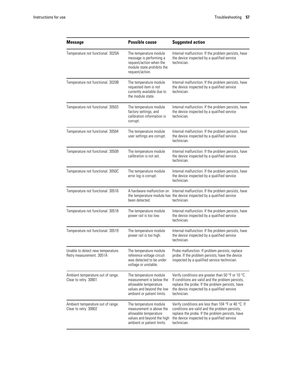| <b>Message</b>                                                | <b>Possible cause</b>                                                                                                                   | <b>Suggested action</b>                                                                                                                                                                                                   |
|---------------------------------------------------------------|-----------------------------------------------------------------------------------------------------------------------------------------|---------------------------------------------------------------------------------------------------------------------------------------------------------------------------------------------------------------------------|
| Temperature not functional. 3020A                             | The temperature module<br>message is performing a<br>request/action when the<br>module state prohibits the<br>request/action.           | Internal malfunction. If the problem persists, have<br>the device inspected by a qualified service<br>technician.                                                                                                         |
| Temperature not functional. 3020B                             | The temperature module<br>requested item is not<br>currently available due to<br>the module state.                                      | Internal malfunction. If the problem persists, have<br>the device inspected by a qualified service<br>technician.                                                                                                         |
| Temperature not functional. 30503                             | The temperature module<br>factory settings, and<br>calibration information is<br>corrupt.                                               | Internal malfunction. If the problem persists, have<br>the device inspected by a qualified service<br>technician.                                                                                                         |
| Temperature not functional. 30504                             | The temperature module<br>user settings are corrupt.                                                                                    | Internal malfunction. If the problem persists, have<br>the device inspected by a qualified service<br>technician.                                                                                                         |
| Temperature not functional. 30509                             | The temperature module<br>calibration is not set.                                                                                       | Internal malfunction. If the problem persists, have<br>the device inspected by a qualified service<br>technician.                                                                                                         |
| Temperature not functional. 3050C                             | The temperature module<br>error log is corrupt.                                                                                         | Internal malfunction. If the problem persists, have<br>the device inspected by a qualified service<br>technician.                                                                                                         |
| Temperature not functional. 30516                             | been detected.                                                                                                                          | A hardware malfunction on Internal malfunction. If the problem persists, have<br>the temperature module has the device inspected by a qualified service<br>technician.                                                    |
| Temperature not functional. 30518                             | The temperature module<br>power rail is too low.                                                                                        | Internal malfunction. If the problem persists, have<br>the device inspected by a qualified service<br>technician.                                                                                                         |
| Temperature not functional. 30519                             | The temperature module<br>power rail is too high.                                                                                       | Internal malfunction. If the problem persists, have<br>the device inspected by a qualified service<br>technician.                                                                                                         |
| Unable to detect new temperature.<br>Retry measurement. 3051A | The temperature module<br>reference voltage circuit<br>was detected to be under<br>voltage or unstable.                                 | Probe malfunction. If problem persists, replace<br>probe. If the problem persists, have the device<br>inspected by a qualified service technician.                                                                        |
| Ambient temperature out of range.<br>Clear to retry. 30801    | The temperature module<br>measurement is below the<br>allowable temperature<br>values and beyond the low<br>ambient or patient limits.  | Verify conditions are greater than 50 °F or 10 °C.<br>If conditions are valid and the problem persists,<br>replace the probe. If the problem persists, have<br>the device inspected by a qualified service<br>technician. |
| Ambient temperature out of range.<br>Clear to retry. 30802    | The temperature module<br>measurement is above the<br>allowable temperature<br>values and beyond the high<br>ambient or patient limits. | Verify conditions are less than 104 °F or 40 °C. If<br>conditions are valid and the problem persists,<br>replace the probe. If the problem persists, have<br>the device inspected by a qualified service<br>technician.   |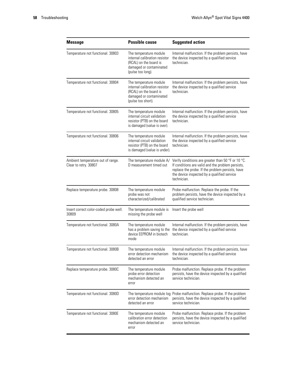| <b>Message</b>                                             | <b>Possible cause</b>                                                                                                              | <b>Suggested action</b>                                                                                                                                                                                                   |
|------------------------------------------------------------|------------------------------------------------------------------------------------------------------------------------------------|---------------------------------------------------------------------------------------------------------------------------------------------------------------------------------------------------------------------------|
| Temperature not functional. 30803                          | The temperature module<br>internal calibration resistor<br>(RCAL) on the board is<br>damaged or contaminated<br>(pulse too long).  | Internal malfunction. If the problem persists, have<br>the device inspected by a qualified service<br>technician.                                                                                                         |
| Temperature not functional. 30804                          | The temperature module<br>internal calibration resistor<br>(RCAL) on the board is<br>damaged or contaminated<br>(pulse too short). | Internal malfunction. If the problem persists, have<br>the device inspected by a qualified service<br>technician.                                                                                                         |
| Temperature not functional. 30805                          | The temperature module<br>internal circuit validation<br>resistor (PTB) on the board<br>is damaged (value is over).                | Internal malfunction. If the problem persists, have<br>the device inspected by a qualified service<br>technician.                                                                                                         |
| Temperature not functional. 30806                          | The temperature module<br>internal circuit validation<br>resistor (PTB) on the board<br>is damaged (value is under).               | Internal malfunction. If the problem persists, have<br>the device inspected by a qualified service<br>technician.                                                                                                         |
| Ambient temperature out of range.<br>Clear to retry. 30807 | The temperature module A/<br>D measurement timed out                                                                               | Verify conditions are greater than 50 °F or 10 °C.<br>If conditions are valid and the problem persists,<br>replace the probe. If the problem persists, have<br>the device inspected by a qualified service<br>technician. |
| Replace temperature probe. 30808                           | The temperature module<br>probe was not<br>characterized/calibrated                                                                | Probe malfunction. Replace the probe. If the<br>problem persists, have the device inspected by a<br>qualified service technician.                                                                                         |
| Insert correct color-coded probe well.<br>30809            | The temperature module is<br>missing the probe well                                                                                | Insert the probe well                                                                                                                                                                                                     |
| Temperature not functional. 3080A                          | The temperature module<br>has a problem saving to the<br>device EEPROM in biotech<br>mode                                          | Internal malfunction. If the problem persists, have<br>the device inspected by a qualified service<br>technician.                                                                                                         |
| Temperature not functional. 3080B                          | The temperature module<br>error detection mechanism<br>detected an error                                                           | Internal malfunction. If the problem persists, have<br>the device inspected by a qualified service<br>technician.                                                                                                         |
| Replace temperature probe. 3080C                           | The temperature module<br>probe error detection<br>mechanism detected an<br>error                                                  | Probe malfunction. Replace probe. If the problem<br>persists, have the device inspected by a qualified<br>service technician.                                                                                             |
| Temperature not functional. 3080D                          | error detection mechanism<br>detected an error                                                                                     | The temperature module log Probe malfunction. Replace probe. If the problem<br>persists, have the device inspected by a qualified<br>service technician.                                                                  |
| Temperature not functional. 3080E                          | The temperature module<br>calibration error detection<br>mechanism detected an<br>error                                            | Probe malfunction. Replace probe. If the problem<br>persists, have the device inspected by a qualified<br>service technician.                                                                                             |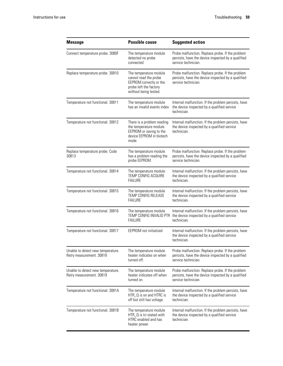| <b>Message</b>                                                | <b>Possible cause</b>                                                                                                         | <b>Suggested action</b>                                                                                                                   |
|---------------------------------------------------------------|-------------------------------------------------------------------------------------------------------------------------------|-------------------------------------------------------------------------------------------------------------------------------------------|
| Connect temperature probe. 3080F                              | The temperature module<br>detected no probe<br>connected                                                                      | Probe malfunction. Replace probe. If the problem<br>persists, have the device inspected by a qualified<br>service technician.             |
| Replace temperature probe. 30810                              | The temperature module<br>cannot read the probe<br>EEPROM correctly or the<br>probe left the factory<br>without being tested. | Probe malfunction. Replace probe. If the problem<br>persists, have the device inspected by a qualified<br>service technician.             |
| Temperature not functional. 30811                             | The temperature module<br>has an invalid events index                                                                         | Internal malfunction. If the problem persists, have<br>the device inspected by a qualified service<br>technician.                         |
| Temperature not functional. 30812                             | There is a problem reading<br>the temperature module<br>EEPROM or saving to the<br>device EEPROM in biotech<br>mode.          | Internal malfunction. If the problem persists, have<br>the device inspected by a qualified service<br>technician.                         |
| Replace temperature probe. Code<br>30813                      | The temperature module<br>has a problem reading the<br>probe EEPROM.                                                          | Probe malfunction. Replace probe. If the problem<br>persists, have the device inspected by a qualified<br>service technician.             |
| Temperature not functional. 30814                             | The temperature module<br><b>TEMP CONFIG ACQUIRE</b><br><b>FAILURE</b>                                                        | Internal malfunction. If the problem persists, have<br>the device inspected by a qualified service<br>technician.                         |
| Temperature not functional. 30815                             | The temperature module<br>TEMP CONFIG RELEASE<br><b>FAILURE</b>                                                               | Internal malfunction. If the problem persists, have<br>the device inspected by a qualified service<br>technician.                         |
| Temperature not functional. 30816                             | The temperature module<br><b>FAILURE</b>                                                                                      | Internal malfunction. If the problem persists, have<br>TEMP CONFIG INVALID PTR the device inspected by a qualified service<br>technician. |
| Temperature not functional. 30817                             | <b>EEPROM</b> not initialized                                                                                                 | Internal malfunction. If the problem persists, have<br>the device inspected by a qualified service<br>technician.                         |
| Unable to detect new temperature.<br>Retry measurement. 30818 | The temperature module<br>heater indicates on when<br>turned off.                                                             | Probe malfunction. Replace probe. If the problem<br>persists, have the device inspected by a qualified<br>service technician.             |
| Unable to detect new temperature.<br>Retry measurement. 30819 | The temperature module<br>heater indicates off when<br>turned on.                                                             | Probe malfunction. Replace probe. If the problem<br>persists, have the device inspected by a qualified<br>service technician.             |
| Temperature not functional. 3081A                             | The temperature module<br>HTR_Q is on and HTRC is<br>off but still has voltage.                                               | Internal malfunction. If the problem persists, have<br>the device inspected by a qualified service<br>technician.                         |
| Temperature not functional. 3081B                             | The temperature module<br>HTR_Q is tri-stated with<br>HTRC enabled and has<br>heater power.                                   | Internal malfunction. If the problem persists, have<br>the device inspected by a qualified service<br>technician.                         |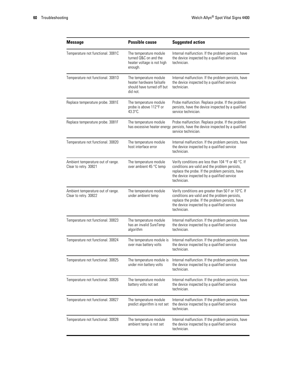| <b>Message</b>                                             | <b>Possible cause</b>                                                                        | <b>Suggested action</b>                                                                                                                                                                                                 |
|------------------------------------------------------------|----------------------------------------------------------------------------------------------|-------------------------------------------------------------------------------------------------------------------------------------------------------------------------------------------------------------------------|
| Temperature not functional. 3081C                          | The temperature module<br>turned Q&C on and the<br>heater voltage is not high<br>enough.     | Internal malfunction. If the problem persists, have<br>the device inspected by a qualified service<br>technician.                                                                                                       |
| Temperature not functional. 3081D                          | The temperature module<br>heater hardware failsafe<br>should have turned off but<br>did not. | Internal malfunction. If the problem persists, have<br>the device inspected by a qualified service<br>technician.                                                                                                       |
| Replace temperature probe. 3081E                           | The temperature module<br>probe is above 112°F or<br>$43.3^{\circ}$ C.                       | Probe malfunction. Replace probe. If the problem<br>persists, have the device inspected by a qualified<br>service technician.                                                                                           |
| Replace temperature probe. 3081F                           | The temperature module                                                                       | Probe malfunction. Replace probe. If the problem<br>has excessive heater energy persists, have the device inspected by a qualified<br>service technician.                                                               |
| Temperature not functional. 30820                          | The temperature module<br>host interface error                                               | Internal malfunction. If the problem persists, have<br>the device inspected by a qualified service<br>technician.                                                                                                       |
| Ambient temperature out of range.<br>Clear to retry. 30821 | The temperature module<br>over ambient 45 °C temp                                            | Verify conditions are less than 104 °F or 40 °C. If<br>conditions are valid and the problem persists,<br>replace the probe. If the problem persists, have<br>the device inspected by a qualified service<br>technician. |
| Ambient temperature out of range.<br>Clear to retry. 30822 | The temperature module<br>under ambient temp                                                 | Verify conditions are greater than 50 F or 10°C. If<br>conditions are valid and the problem persists,<br>replace the probe. If the problem persists, have<br>the device inspected by a qualified service<br>technician. |
| Temperature not functional. 30823                          | The temperature module<br>has an invalid SureTemp<br>algorithm                               | Internal malfunction. If the problem persists, have<br>the device inspected by a qualified service<br>technician.                                                                                                       |
| Temperature not functional. 30824                          | The temperature module is<br>over max battery volts                                          | Internal malfunction. If the problem persists, have<br>the device inspected by a qualified service<br>technician.                                                                                                       |
| Temperature not functional. 30825                          | The temperature module is<br>under min battery volts                                         | Internal malfunction. If the problem persists, have<br>the device inspected by a qualified service<br>technician.                                                                                                       |
| Temperature not functional. 30826                          | The temperature module<br>battery volts not set                                              | Internal malfunction. If the problem persists, have<br>the device inspected by a qualified service<br>technician.                                                                                                       |
| Temperature not functional. 30827                          | The temperature module<br>predict algorithm is not set                                       | Internal malfunction. If the problem persists, have<br>the device inspected by a qualified service<br>technician.                                                                                                       |
| Temperature not functional. 30828                          | The temperature module<br>ambient temp is not set                                            | Internal malfunction. If the problem persists, have<br>the device inspected by a qualified service<br>technician.                                                                                                       |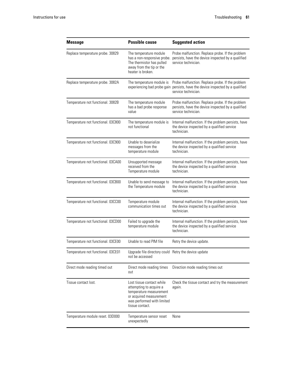| <b>Message</b>                     | <b>Possible cause</b>                                                                                                                                       | <b>Suggested action</b>                                                                                                                                   |
|------------------------------------|-------------------------------------------------------------------------------------------------------------------------------------------------------------|-----------------------------------------------------------------------------------------------------------------------------------------------------------|
| Replace temperature probe. 30829   | The temperature module<br>has a non-responsive probe.<br>The thermistor has pulled<br>away from the tip or the<br>heater is broken.                         | Probe malfunction. Replace probe. If the problem<br>persists, have the device inspected by a qualified<br>service technician.                             |
| Replace temperature probe. 3082A   | The temperature module is                                                                                                                                   | Probe malfunction. Replace probe. If the problem<br>experiencing bad probe gain persists, have the device inspected by a qualified<br>service technician. |
| Temperature not functional. 3082B  | The temperature module<br>has a bad probe response<br>value                                                                                                 | Probe malfunction. Replace probe. If the problem<br>persists, have the device inspected by a qualified<br>service technician.                             |
| Temperature not functional. 03C800 | The temperature module is<br>not functional                                                                                                                 | Internal malfunction. If the problem persists, have<br>the device inspected by a qualified service<br>technician.                                         |
| Temperature not functional. 03C900 | Unable to deserialize<br>messages from the<br>temperature module                                                                                            | Internal malfunction. If the problem persists, have<br>the device inspected by a qualified service<br>technician.                                         |
| Temperature not functional. 03CA00 | Unsupported message<br>received from the<br>Temperature module                                                                                              | Internal malfunction. If the problem persists, have<br>the device inspected by a qualified service<br>technician.                                         |
| Temperature not functional. 03CB00 | Unable to send message to<br>the Temperature module                                                                                                         | Internal malfunction. If the problem persists, have<br>the device inspected by a qualified service<br>technician.                                         |
| Temperature not functional. 03CC00 | Temperature module<br>communication times out                                                                                                               | Internal malfunction. If the problem persists, have<br>the device inspected by a qualified service<br>technician.                                         |
| Temperature not functional. 03CD00 | Failed to upgrade the<br>temperature module                                                                                                                 | Internal malfunction. If the problem persists, have<br>the device inspected by a qualified service<br>technician.                                         |
| Temperature not functional. 03CE00 | Unable to read PIM file                                                                                                                                     | Retry the device update.                                                                                                                                  |
| Temperature not functional. 03CE01 | Upgrade file directory could Retry the device update<br>not be accessed                                                                                     |                                                                                                                                                           |
| Direct mode reading timed out      | Direct mode reading times<br>out                                                                                                                            | Direction mode reading times out                                                                                                                          |
| Tissue contact lost.               | Lost tissue contact while<br>attempting to acquire a<br>temperature measurement<br>or acquired measurement<br>was performed with limited<br>tissue contact. | Check the tissue contact and try the measurement<br>again.                                                                                                |
| Temperature module reset. 03D000   | Temperature sensor reset<br>unexpectedly                                                                                                                    | None                                                                                                                                                      |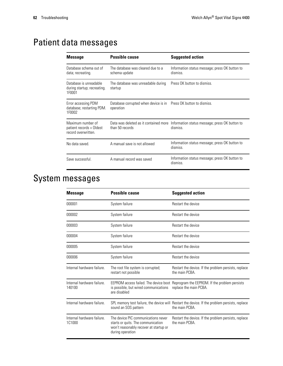# Patient data messages

| <b>Message</b>                                                       | <b>Possible cause</b>                                                         | <b>Suggested action</b>                                                                          |
|----------------------------------------------------------------------|-------------------------------------------------------------------------------|--------------------------------------------------------------------------------------------------|
| Database schema out of<br>data; recreating.                          | The database was cleared due to a<br>schema update                            | Information status message; press OK button to<br>dismiss.                                       |
| Database is unreadable<br>during startup; recreating.<br>1F0001      | The database was unreadable during<br>startup                                 | Press OK button to dismiss.                                                                      |
| Error accessing PDM<br>database; restarting PDM.<br>1F0002           | Database corrupted when device is in Press OK button to dismiss.<br>operation |                                                                                                  |
| Maximum number of<br>patient records + Oldest<br>record overwritten. | than 50 records                                                               | Data was deleted as it contained more Information status message; press OK button to<br>dismiss. |
| No data saved.                                                       | A manual save is not allowed                                                  | Information status message; press OK button to<br>dismiss.                                       |
| Save successful.                                                     | A manual record was saved                                                     | Information status message; press OK button to<br>dismiss.                                       |

# System messages

| <b>Message</b>                       | <b>Possible cause</b>                                                                                                                   | <b>Suggested action</b>                                                                                         |
|--------------------------------------|-----------------------------------------------------------------------------------------------------------------------------------------|-----------------------------------------------------------------------------------------------------------------|
| 000001                               | System failure                                                                                                                          | Restart the device                                                                                              |
| 000002                               | System failure                                                                                                                          | Restart the device                                                                                              |
| 000003                               | System failure                                                                                                                          | Restart the device                                                                                              |
| 000004                               | System failure                                                                                                                          | Restart the device                                                                                              |
| 000005                               | System failure                                                                                                                          | Restart the device                                                                                              |
| 000006                               | System failure                                                                                                                          | Restart the device                                                                                              |
| Internal hardware failure.           | The root file system is corrupted;<br>restart not possible                                                                              | Restart the device. If the problem persists, replace<br>the main PCBA.                                          |
| Internal hardware failure.<br>140100 | is possible, but wired communications replace the main PCBA.<br>are disabled                                                            | EEPROM access failed. The device boot Reprogram the EEPROM. If the problem persists                             |
| Internal hardware failure.           | sound an SOS pattern                                                                                                                    | SPL memory test failure, the device will Restart the device. If the problem persists, replace<br>the main PCBA. |
| Internal hardware failure.<br>1C1000 | The device PIC communications never<br>starts or quits. The communication<br>won't reasonably recover at startup or<br>during operation | Restart the device. If the problem persists, replace<br>the main PCBA.                                          |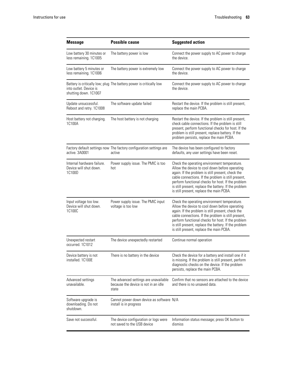| <b>Message</b>                                                 | <b>Possible cause</b>                                                                  | <b>Suggested action</b>                                                                                                                                                                                                                                                                                                                                               |
|----------------------------------------------------------------|----------------------------------------------------------------------------------------|-----------------------------------------------------------------------------------------------------------------------------------------------------------------------------------------------------------------------------------------------------------------------------------------------------------------------------------------------------------------------|
| Low battery 30 minutes or<br>less remaining. 1C1005            | The battery power is low                                                               | Connect the power supply to AC power to charge<br>the device.                                                                                                                                                                                                                                                                                                         |
| Low battery 5 minutes or<br>less remaining. 1C1006             | The battery power is extremely low                                                     | Connect the power supply to AC power to charge<br>the device.                                                                                                                                                                                                                                                                                                         |
| into outlet. Device is<br>shutting down. 1C1007                | Battery is critically low; plug The battery power is critically low                    | Connect the power supply to AC power to charge<br>the device.                                                                                                                                                                                                                                                                                                         |
| Update unsuccessful.<br>Reboot and retry. 1C1008               | The software update failed                                                             | Restart the device. If the problem is still present,<br>replace the main PCBA.                                                                                                                                                                                                                                                                                        |
| Host battery not charging.<br>1C100A                           | The host battery is not charging                                                       | Restart the device. If the problem is still present,<br>check cable connections. If the problem is still<br>present, perform functional checks for host. If the<br>problem is still present, replace battery. If the<br>problem persists, replace the main PCBA.                                                                                                      |
| active. 3A0001                                                 | Factory default settings now The factory configuration settings are<br>active          | The device has been configured to factory<br>defaults, any user settings have been reset.                                                                                                                                                                                                                                                                             |
| Internal hardware failure.<br>Device will shut down.<br>1C100D | Power supply issue. The PMIC is too<br>hot                                             | Check the operating environment temperature.<br>Allow the device to cool down before operating<br>again. If the problem is still present, check the<br>cable connections. If the problem is still present,<br>perform functional checks for host. If the problem<br>is still present, replace the battery. If the problem<br>is still present, replace the main PCBA. |
| Input voltage too low.<br>Device will shut down.<br>1C100C     | Power supply issue. The PMIC input<br>voltage is too low                               | Check the operating environment temperature.<br>Allow the device to cool down before operating<br>again. If the problem is still present, check the<br>cable connections. If the problem is still present,<br>perform functional checks for host. If the problem<br>is still present, replace the battery. If the problem<br>is still present, replace the main PCBA. |
| Unexpected restart<br>occurred. 1C1012                         | The device unexpectedly restarted                                                      | Continue normal operation                                                                                                                                                                                                                                                                                                                                             |
| Device battery is not<br>installed. 1C100E                     | There is no battery in the device                                                      | Check the device for a battery and install one if it<br>is missing. If the problem is still present, perform<br>diagnostic checks on the device. If the problem<br>persists, replace the main PCBA.                                                                                                                                                                   |
| Advanced settings<br>unavailable.                              | The advanced settings are unavailable<br>because the device is not in an idle<br>state | Confirm that no sensors are attached to the device<br>and there is no unsaved data.                                                                                                                                                                                                                                                                                   |
| Software upgrade is<br>downloading. Do not<br>shutdown.        | Cannot power down device as software N/A<br>install is in progress                     |                                                                                                                                                                                                                                                                                                                                                                       |
| Save not successful.                                           | The device configuration or logs were<br>not saved to the USB device                   | Information status message; press OK button to<br>dismiss                                                                                                                                                                                                                                                                                                             |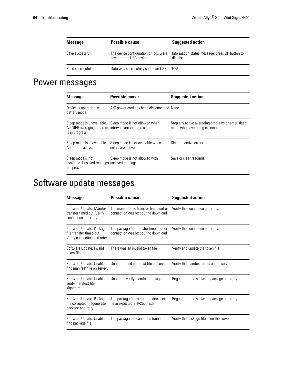| <b>Message</b>   | <b>Possible cause</b>                                            | <b>Suggested action</b>                                   |
|------------------|------------------------------------------------------------------|-----------------------------------------------------------|
| Save successful. | The device configuration or logs were<br>saved to the USB device | Information status message; press OK button to<br>dismiss |
| Send successful. | Data was successfully sent over USB. N/A                         |                                                           |

# Power messages

| <b>Message</b>                                                                    | <b>Possible cause</b>                                     | <b>Suggested action</b>                                                               |
|-----------------------------------------------------------------------------------|-----------------------------------------------------------|---------------------------------------------------------------------------------------|
| Device is operating in<br>battery mode                                            | A/C power cord has been disconnected None                 |                                                                                       |
| An NIBP averaging program intervals are in progress<br>is in progress.            | Sleep mode is unavailable. Sleep mode is not allowed when | Stop any active averaging programs or enter sleep<br>mode when averaging is complete. |
| Sleep mode is unavailable.<br>An error is active.                                 | Sleep mode is not available when<br>errors are active     | Clear all active errors.                                                              |
| Sleep mode is not<br>available. Unsaved readings unsaved readings<br>are present. | Sleep mode is not allowed with                            | Save or clear readings.                                                               |

# Software update messages

| <b>Message</b>                                                                      | <b>Possible cause</b>                                                          | <b>Suggested action</b>                                                                                        |
|-------------------------------------------------------------------------------------|--------------------------------------------------------------------------------|----------------------------------------------------------------------------------------------------------------|
| Software Update: Manifest<br>transfer timed out. Verify<br>connection and retry.    | The manifest file transfer timed out or<br>connection was lost during download | Verify the connection and retry.                                                                               |
| Software Update: Package<br>file transfer timed out.<br>Verify connection and retry | The package file transfer timed out or<br>connection was lost during download  | Verify the connection and retry.                                                                               |
| Software Update: Invalid<br>token file.                                             | There was an invalid token file                                                | Verify and update the token file.                                                                              |
| find manifest file on server.                                                       | Software Update: Unable to Unable to find manifest file on server              | Verify the manifest file is on the server.                                                                     |
| verify manifest file<br>signature.                                                  |                                                                                | Software Update: Unable to Unable to verify manifest file signature Regenerate the software package and retry. |
| Software Update: Package<br>file corrupted. Regenerate<br>package and retry.        | The package file is corrupt, does not<br>have expected SHA256 hash             | Regenerate the software package and retry.                                                                     |
| find package file.                                                                  | Software Update: Unable to The package file cannot be found                    | Verify the package file is on the server.                                                                      |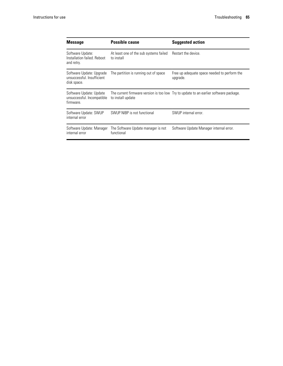| <b>Message</b>                                                        | <b>Possible cause</b>                                | <b>Suggested action</b>                                                               |
|-----------------------------------------------------------------------|------------------------------------------------------|---------------------------------------------------------------------------------------|
| Software Update:<br>Installation failed. Reboot<br>and retry.         | At least one of the sub systems failed<br>to install | Restart the device.                                                                   |
| Software Update: Upgrade<br>unsuccessful. Insufficient<br>disk space. | The partition is running out of space                | Free up adequate space needed to perform the<br>upgrade.                              |
| Software Update: Update<br>unsuccessful. Incompatible<br>firmware.    | to install update                                    | The current firmware version is too low Try to update to an earlier software package. |
| Software Update: SWUP<br>internal error                               | SWUP NIBP is not functional                          | SWUP internal error.                                                                  |
| Software Update: Manager<br>internal error                            | The Software Update manager is not<br>functional     | Software Update Manager internal error.                                               |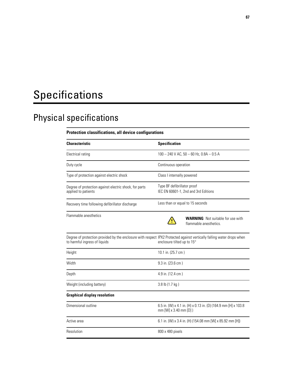# Specifications

# Physical specifications

#### **Protection classifications, all device configurations**

| Characteristic                                                                                                                                          | <b>Specification</b>                                                                              |  |
|---------------------------------------------------------------------------------------------------------------------------------------------------------|---------------------------------------------------------------------------------------------------|--|
| Electrical rating                                                                                                                                       | 100 - 240 V AC, 50 - 60 Hz, 0.8A - 0.5 A                                                          |  |
| Duty cycle                                                                                                                                              | Continuous operation                                                                              |  |
| Type of protection against electric shock                                                                                                               | Class I internally powered                                                                        |  |
| Degree of protection against electric shock, for parts<br>applied to patients                                                                           | Type BF defibrillator proof<br>IEC EN 60601-1, 2nd and 3rd Editions                               |  |
| Recovery time following defibrillator discharge                                                                                                         | Less than or equal to 15 seconds                                                                  |  |
| Flammable anesthetics                                                                                                                                   | <b>WARNING</b> Not suitable for use with<br>flammable anesthetics.                                |  |
| Degree of protection provided by the enclosure with respect IPX2 Protected against vertically falling water drops when<br>to harmful ingress of liquids | enclosure tilted up to 15°                                                                        |  |
| Height                                                                                                                                                  | 10.1 in. (25.7 cm)                                                                                |  |
| Width                                                                                                                                                   | 9.3 in. (23.6 cm)                                                                                 |  |
| Depth                                                                                                                                                   | 4.9 in. (12.4 cm)                                                                                 |  |
| Weight (including battery)                                                                                                                              | 3.8 lb (1.7 kg)                                                                                   |  |
| <b>Graphical display resolution</b>                                                                                                                     |                                                                                                   |  |
| Dimensional outline                                                                                                                                     | 6.5 in. (W) x 4.1 in. (H) x 0.13 in. (D) (164.9 mm [H] x 103.8<br>mm [W] $\times$ 3.40 mm [D] $)$ |  |
| Active area                                                                                                                                             | 6.1 in. (W) x 3.4 in. (H) (154.08 mm [W] x 85.92 mm [H])                                          |  |
| Resolution                                                                                                                                              | 800 x 480 pixels                                                                                  |  |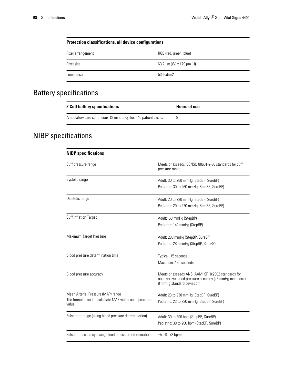| <b>Protection classifications, all device configurations</b> |                                    |  |
|--------------------------------------------------------------|------------------------------------|--|
| Pixel arrangement                                            | RGB (red, green, blue)             |  |
| Pixel size                                                   | 63.2 $\mu$ m (W) x 179 $\mu$ m (H) |  |
| Luminance                                                    | 530 cd/m2                          |  |

## Battery specifications

| 2 Cell battery specifications                                   | <b>Hours of use</b> |
|-----------------------------------------------------------------|---------------------|
| Ambulatory care continuous 12 minute cycles - 40 patient cycles |                     |

# NIBP specifications

| <b>NIBP</b> specifications                                                                              |                                                                                                                                              |
|---------------------------------------------------------------------------------------------------------|----------------------------------------------------------------------------------------------------------------------------------------------|
| Cuff pressure range                                                                                     | Meets or exceeds IEC/ISO 80601-2-30 standards for cuff<br>pressure range                                                                     |
| Systolic range                                                                                          | Adult: 30 to 260 mmHg (StepBP, SureBP)<br>Pediatric: 30 to 260 mmHg (StepBP, SureBP)                                                         |
| Diastolic range                                                                                         | Adult: 20 to 220 mmHg (StepBP, SureBP)<br>Pediatric: 20 to 220 mmHg (StepBP, SureBP)                                                         |
| Cuff Inflation Target                                                                                   | Adult:160 mmHg (StepBP)<br>Pediatric: 140 mmHg (StepBP)                                                                                      |
| Maximum Target Pressure                                                                                 | Adult: 280 mmHg (StepBP, SureBP)<br>Pediatric: 280 mmHg (StepBP, SureBP)                                                                     |
| Blood pressure determination time                                                                       | Typical: 15 seconds<br>Maximum: 150 seconds                                                                                                  |
| Blood pressure accuracy                                                                                 | Meets or exceeds ANSI.AAMI SP10:2002 standards for<br>noninvasive blood pressure accuracy (±5 mmHg mean error,<br>8 mmHg standard deviation) |
| Mean Arterial Pressure (MAP) range<br>The formula used to calculate MAP yields an approximate<br>value. | Adult: 23 to 230 mmHg (StepBP, SureBP)<br>Pediatric: 23 to 230 mmHg (StepBP, SureBP)                                                         |
| Pulse rate range (using blood pressure determination)                                                   | Adult: 30 to 200 bpm (StepBP, SureBP)<br>Pediatric: 30 to 200 bpm (StepBP, SureBP)                                                           |
| Pulse rate accuracy (using blood pressure determination)                                                | $\pm 5.0\%$ ( $\pm 3$ bpm)                                                                                                                   |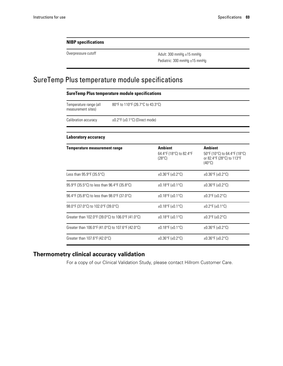#### **NIBP specifications**

Overpressure cutoff **Adult:** 300 mmHg ±15 mmHg Pediatric: 300 mmHg ±15 mmHg

### SureTemp Plus temperature module specifications

| <b>SureTemp Plus temperature module specifications</b> |                                  |                                                              |                                                                                                |
|--------------------------------------------------------|----------------------------------|--------------------------------------------------------------|------------------------------------------------------------------------------------------------|
| Temperature range (all<br>measurement sites)           | 80°F to 110°F (26.7°C to 43.3°C) |                                                              |                                                                                                |
| Calibration accuracy                                   |                                  | $\pm 0.2$ °F ( $\pm 0.1$ °C) (Direct mode)                   |                                                                                                |
| Laboratory accuracy                                    |                                  |                                                              |                                                                                                |
| <b>Temperature measurement range</b>                   |                                  | <b>Ambient</b><br>64.4°F (18°C) to 82.4°F<br>$(28^{\circ}C)$ | <b>Ambient</b><br>50°F (10°C) to 64.4°F (18°C)<br>or 82.4°F (28°C) to 113°F<br>$(40^{\circ}C)$ |
| Less than $95.9^{\circ}$ F (35.5 $^{\circ}$ C)         |                                  | $±0.36^{\circ}$ F (±0.2°C)                                   | $±0.36^{\circ}$ F (±0.2°C)                                                                     |
| 95.9°F (35.5°C) to less than 96.4°F (35.8°C)           |                                  | $±0.18$ °F (±0.1°C)                                          | $±0.36^{\circ}$ F (±0.2°C)                                                                     |
| 96.4°F (35.8°C) to less than 98.0°F (37.0°C)           |                                  | $±0.18$ °F (±0.1°C)                                          | $±0.3$ °F (±0.2°C)                                                                             |
| 98.0°F (37.0°C) to 102.0°F (39.0°C)                    |                                  | $±0.18$ °F (±0.1°C)                                          | $±0.2$ °F (±0.1°C)                                                                             |
| Greater than 102.0°F (39.0°C) to 106.0°F (41.0°C)      |                                  | $±0.18$ °F (±0.1°C)                                          | $±0.3$ °F (±0.2°C)                                                                             |
| Greater than 106.0°F (41.0°C) to 107.6°F (42.0°C)      |                                  | $±0.18$ °F (±0.1°C)                                          | $±0.36^{\circ}$ F (±0.2°C)                                                                     |
| Greater than $107.6^{\circ}F(42.0^{\circ}C)$           |                                  | $\pm 0.36^{\circ}$ F ( $\pm 0.2^{\circ}$ C)                  | $±0.36^{\circ}$ F (±0.2 $^{\circ}$ C)                                                          |

#### **Thermometry clinical accuracy validation**

For a copy of our Clinical Validation Study, please contact Hillrom Customer Care.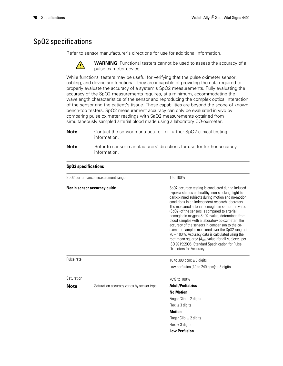### SpO2 specifications

Refer to sensor manufacturer's directions for use for additional information.



**WARNING** Functional testers cannot be used to assess the accuracy of a pulse oximeter device.

While functional testers may be useful for verifying that the pulse oximeter sensor, cabling, and device are functional, they are incapable of providing the data required to properly evaluate the accuracy of a system's SpO2 measurements. Fully evaluating the accuracy of the SpO2 measurements requires, at a minimum, accommodating the wavelength characteristics of the sensor and reproducing the complex optical interaction of the sensor and the patient's tissue. These capabilities are beyond the scope of known bench-top testers. SpO2 measurement accuracy can only be evaluated in vivo by comparing pulse oximeter readings with SaO2 measurements obtained from simultaneously sampled arterial blood made using a laboratory CO-oximeter.

- **Note** Contact the sensor manufacturer for further SpO2 clinical testing information.
- **Note** Refer to sensor manufacturers' directions for use for further accuracy information.

| SpO2 performance measurement range |                                            | 1 to 100%                                                                                                                                                                                                                                                                                                                                                                                                                                                                                                                                                                                                                                                                                                                                        |  |
|------------------------------------|--------------------------------------------|--------------------------------------------------------------------------------------------------------------------------------------------------------------------------------------------------------------------------------------------------------------------------------------------------------------------------------------------------------------------------------------------------------------------------------------------------------------------------------------------------------------------------------------------------------------------------------------------------------------------------------------------------------------------------------------------------------------------------------------------------|--|
| Nonin sensor accuracy quide        |                                            | SpO2 accuracy testing is conducted during induced<br>hypoxia studies on healthy, non-smoking, light-to-<br>dark-skinned subjects during motion and no-motion<br>conditions in an independent research laboratory.<br>The measured arterial hemoglobin saturation value<br>(SpO2) of the sensors is compared to arterial<br>hemoglobin oxygen (SaO2) value, determined from<br>blood samples with a laboratory co-oximeter. The<br>accuracy of the sensors in comparison to the co-<br>oximeter samples measured over the SpO2 range of<br>$70 - 100\%$ . Accuracy data is calculated using the<br>root-mean-squared (A <sub>rms</sub> value) for all subjects, per<br>ISO 9919:2005, Standard Specification for Pulse<br>Oximeters for Accuracy. |  |
| Pulse rate                         |                                            | 18 to 300 bpm: $\pm$ 3 digits<br>Low perfusion (40 to 240 bpm): $\pm$ 3 digits                                                                                                                                                                                                                                                                                                                                                                                                                                                                                                                                                                                                                                                                   |  |
| Saturation                         |                                            | 70% to 100%                                                                                                                                                                                                                                                                                                                                                                                                                                                                                                                                                                                                                                                                                                                                      |  |
| <b>Note</b>                        | Saturation accuracy varies by sensor type. | <b>Adult/Pediatrics</b>                                                                                                                                                                                                                                                                                                                                                                                                                                                                                                                                                                                                                                                                                                                          |  |
|                                    |                                            | <b>No Motion</b>                                                                                                                                                                                                                                                                                                                                                                                                                                                                                                                                                                                                                                                                                                                                 |  |
|                                    |                                            | Finger Clip: $\pm$ 2 digits                                                                                                                                                                                                                                                                                                                                                                                                                                                                                                                                                                                                                                                                                                                      |  |
|                                    |                                            | Flex: $\pm$ 3 digits                                                                                                                                                                                                                                                                                                                                                                                                                                                                                                                                                                                                                                                                                                                             |  |
|                                    |                                            | <b>Motion</b>                                                                                                                                                                                                                                                                                                                                                                                                                                                                                                                                                                                                                                                                                                                                    |  |
|                                    |                                            | Finger Clip: $\pm$ 2 digits                                                                                                                                                                                                                                                                                                                                                                                                                                                                                                                                                                                                                                                                                                                      |  |
|                                    |                                            | Flex: $\pm$ 3 digits                                                                                                                                                                                                                                                                                                                                                                                                                                                                                                                                                                                                                                                                                                                             |  |
|                                    |                                            | <b>Low Perfusion</b>                                                                                                                                                                                                                                                                                                                                                                                                                                                                                                                                                                                                                                                                                                                             |  |

#### **SpO2 specifications**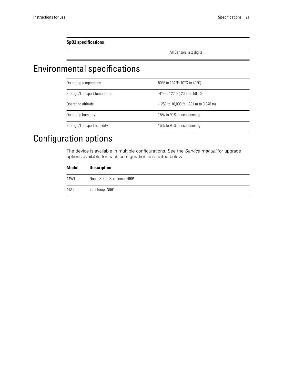**SpO2 specifications**

All Sensors: ± 2 digits

# Environmental specifications

| Operating temperature         | 50°F to 104°F (10°C to 40°C)                 |
|-------------------------------|----------------------------------------------|
| Storage/Transport temperature | -4°F to 122°F (-20°C to 50°C)                |
| Operating altitude            | $-1250$ to 10,000 ft. ( $-381$ m to 3,048 m) |
| Operating humidity            | 15% to 90% noncondensing                     |
| Storage/Transport humidity    | 15% to 95% noncondensing                     |

# Configuration options

The device is available in multiple configurations. See the *Service manual* for upgrade options available for each configuration presented below

| <b>Model</b> | <b>Description</b>         |
|--------------|----------------------------|
| 44WT         | Nonin SpO2, SureTemp, NIBP |
| 44XT         | SureTemp, NIBP             |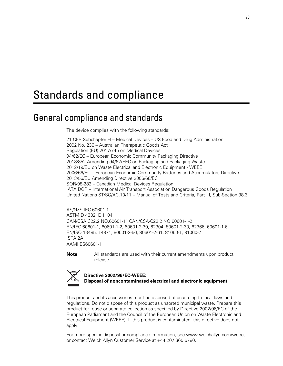# Standards and compliance

# General compliance and standards

The device complies with the following standards:

21 CFR Subchapter H – Medical Devices – US Food and Drug Administration 2002 No. 236 – Australian Therapeutic Goods Act Regulation (EU) 2017/745 on Medical Devices 94/62/EC – European Economic Community Packaging Directive 2018/852 Amending 94/62/EEC on Packaging and Packaging Waste 2012/19/EU on Waste Electrical and Electronic Equipment - WEEE 2006/66/EC – European Economic Community Batteries and Accumulators Directive 2013/56/EU Amending Directive 2006/66/EC SOR/98-282 – Canadian Medical Devices Regulation IATA DGR – International Air Transport Association Dangerous Goods Regulation United Nations ST/SG/AC.10/11 – Manual of Tests and Criteria, Part III, Sub-Section 38.3

AS/NZS IEC 60601-1 ASTM D 4332, E 1104 CAN/CSA C22.2 NO.60601-1<sup>1</sup> CAN/CSA-C22.2 NO.60601-1-2 EN/IEC 60601-1, 60601-1-2, 60601-2-30, 62304, 80601-2-30, 62366, 60601-1-6 EN/ISO 13485, 14971, 80601-2-56, 80601-2-61, 81060-1, 81060-2 ISTA 2A AAMI ES60601-1<sup>1</sup>

**Note** All standards are used with their current amendments upon product release.



#### **Directive 2002/96/EC-WEEE: Disposal of noncontaminated electrical and electronic equipment**

This product and its accessories must be disposed of according to local laws and regulations. Do not dispose of this product as unsorted municipal waste. Prepare this product for reuse or separate collection as specified by Directive 2002/96/EC of the European Parliament and the Council of the European Union on Waste Electronic and Electrical Equipment (WEEE). If this product is contaminated, this directive does not apply.

For more specific disposal or compliance information, see www.welchallyn.com/weee, or contact Welch Allyn Customer Service at +44 207 365 6780.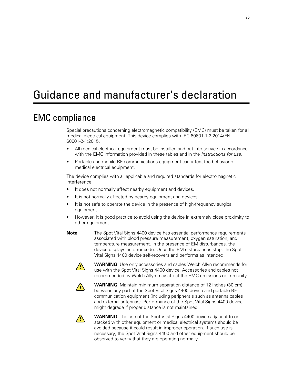# Guidance and manufacturer's declaration

## EMC compliance

Special precautions concerning electromagnetic compatibility (EMC) must be taken for all medical electrical equipment. This device complies with IEC 60601-1-2:2014/EN 60601-2-1:2015.

- All medical electrical equipment must be installed and put into service in accordance with the EMC information provided in these tables and in the *Instructions for use.*
- Portable and mobile RF communications equipment can affect the behavior of medical electrical equipment.

The device complies with all applicable and required standards for electromagnetic interference.

- It does not normally affect nearby equipment and devices.
- It is not normally affected by nearby equipment and devices.
- It is not safe to operate the device in the presence of high-frequency surgical equipment.
- However, it is good practice to avoid using the device in extremely close proximity to other equipment.
- **Note** The Spot Vital Signs 4400 device has essential performance requirements associated with blood pressure measurement, oxygen saturation, and temperature measurement. In the presence of EM disturbances, the device displays an error code. Once the EM disturbances stop, the Spot Vital Signs 4400 device self-recovers and performs as intended.



**WARNING** Use only accessories and cables Welch Allyn recommends for use with the Spot Vital Signs 4400 device. Accessories and cables not recommended by Welch Allyn may affect the EMC emissions or immunity.



**WARNING** Maintain minimum separation distance of 12 inches (30 cm) between any part of the Spot Vital Signs 4400 device and portable RF communication equipment (including peripherals such as antenna cables and external antennas). Performance of the Spot Vital Signs 4400 device might degrade if proper distance is not maintained.



**WARNING** The use of the Spot Vital Signs 4400 device adjacent to or stacked with other equipment or medical electrical systems should be avoided because it could result in improper operation. If such use is necessary, the Spot Vital Signs 4400 and other equipment should be observed to verify that they are operating normally.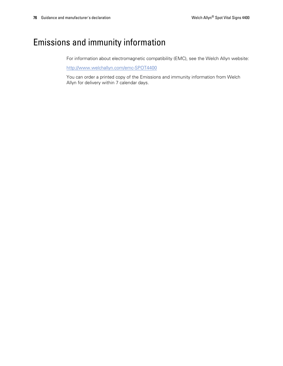## Emissions and immunity information

For information about electromagnetic compatibility (EMC), see the Welch Allyn website:

<http://www.welchallyn.com/emc-SPOT4400>

You can order a printed copy of the Emissions and immunity information from Welch Allyn for delivery within 7 calendar days.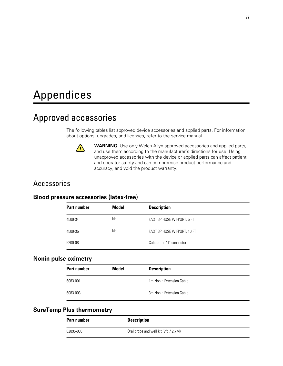# Appendices

## Approved accessories

The following tables list approved device accessories and applied parts. For information about options, upgrades, and licenses, refer to the service manual.



**WARNING** Use only Welch Allyn approved accessories and applied parts, and use them according to the manufacturer's directions for use. Using unapproved accessories with the device or applied parts can affect patient and operator safety and can compromise product performance and accuracy, and void the product warranty.

#### Accessories

#### **Blood pressure accessories (latex-free)**

| <b>Part number</b> | Model | <b>Description</b>          |
|--------------------|-------|-----------------------------|
| 4500-34            | ΒP    | FAST BP HOSE W FPORT, 5 FT  |
| 4500-35            | ΒP    | FAST BP HOSE W FPORT, 10 FT |
| 5200-08            |       | Calibration "T" connector   |

#### **Nonin pulse oximetry**

| Model | <b>Description</b>       |  |
|-------|--------------------------|--|
|       | 1m Nonin Extension Cable |  |
|       | 3m Nonin Extension Cable |  |
|       |                          |  |

#### **SureTemp Plus thermometry**

| <b>Part number</b> | <b>Description</b>                    |
|--------------------|---------------------------------------|
| 02895-000          | Oral probe and well kit (9ft. / 2.7M) |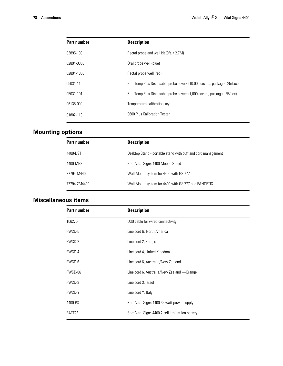| <b>Part number</b> | <b>Description</b>                                                     |
|--------------------|------------------------------------------------------------------------|
| 02895-100          | Rectal probe and well kit (9ft. / 2.7M)                                |
| 02894-0000         | Oral probe well (blue)                                                 |
| 02894-1000         | Rectal probe well (red)                                                |
| 05031-110          | SureTemp Plus Disposable probe covers (10,000 covers, packaged 25/box) |
| 05031-101          | SureTemp Plus Disposable probe covers (1,000 covers, packaged 25/box)  |
| 06138-000          | Temperature calibration key                                            |
| 01802-110          | 9600 Plus Calibration Tester                                           |

### **Mounting options**

| <b>Part number</b> | <b>Description</b>                                           |
|--------------------|--------------------------------------------------------------|
| 4400-DST           | Desktop Stand - portable stand with cuff and cord management |
| 4400-MBS           | Spot Vital Signs 4400 Mobile Stand                           |
| 77794-M4400        | Wall Mount system for 4400 with GS 777                       |
| 77794-2M4400       | Wall Mount system for 4400 with GS 777 and PANOPTIC          |

### **Miscellaneous items**

| <b>Part number</b> | <b>Description</b>                               |
|--------------------|--------------------------------------------------|
| 106275             | USB cable for wired connectivity                 |
| PWCD-B             | Line cord B, North America                       |
| PWCD-2             | Line cord 2, Europe                              |
| PWCD-4             | Line cord 4, United Kingdom                      |
| PWCD-6             | Line cord 6, Australia/New Zealand               |
| PWCD-66            | Line cord 6, Australia/New Zealand — Orange      |
| PWCD-3             | Line cord 3, Israel                              |
| PWCD-Y             | Line cord Y, Italy                               |
| 4400-PS            | Spot Vital Signs 4400 35 watt power supply       |
| BATT22             | Spot Vital Signs 4400 2 cell lithium-ion battery |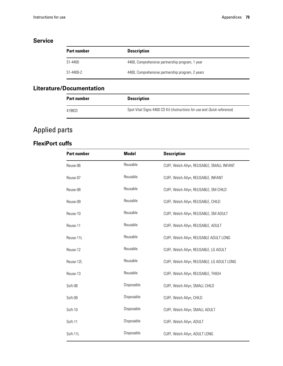#### **Service**

| <b>Part number</b> | <b>Description</b>                               |
|--------------------|--------------------------------------------------|
| S1-4400            | 4400, Comprehensive partnership program, 1 year  |
| S1-4400-2          | 4400, Comprehensive partnership program, 2 years |

#### **Literature/Documentation**

| <b>Part number</b> | <b>Description</b>                                                                      |
|--------------------|-----------------------------------------------------------------------------------------|
| 419833             | Spot Vital Signs 4400 CD Kit ( <i>Instructions for use</i> and <i>Quick reference</i> ) |

### Applied parts

#### **FlexiPort cuffs**

| <b>Part number</b> | <b>Model</b> | <b>Description</b>                         |
|--------------------|--------------|--------------------------------------------|
| Reuse-06           | Reusable     | CUFF, Welch Allyn, REUSABLE, SMALL INFANT  |
| Reuse-07           | Reusable     | CUFF, Welch Allyn, REUSABLE, INFANT        |
| Reuse-08           | Reusable     | CUFF, Welch Allyn, REUSABLE, SM CHILD      |
| Reuse-09           | Reusable     | CUFF, Welch Allyn, REUSABLE, CHILD         |
| Reuse-10           | Reusable     | CUFF, Welch Allyn, REUSABLE, SM ADULT      |
| Reuse-11           | Reusable     | CUFF, Welch Allyn, REUSABLE, ADULT         |
| Reuse-11L          | Reusable     | CUFF, Welch Allyn, REUSABLE ADULT LONG     |
| Reuse-12           | Reusable     | CUFF, Welch Allyn, REUSABLE, LG ADULT      |
| Reuse-12L          | Reusable     | CUFF, Welch Allyn, REUSABLE, LG ADULT LONG |
| Reuse-13           | Reusable     | CUFF, Welch Allyn, REUSABLE, THIGH         |
| Soft-08            | Disposable   | CUFF, Welch Allyn, SMALL CHILD             |
| Soft-09            | Disposable   | CUFF, Welch Allyn, CHILD                   |
| Soft-10            | Disposable   | CUFF, Welch Allyn, SMALL ADULT             |
| Soft-11            | Disposable   | CUFF, Welch Allyn, ADULT                   |
| Soft-11L           | Disposable   | CUFF, Welch Allyn, ADULT LONG              |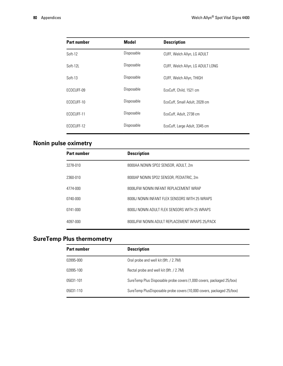| <b>Part number</b> | <b>Model</b> | <b>Description</b>               |
|--------------------|--------------|----------------------------------|
| Soft-12            | Disposable   | CUFF, Welch Allyn, LG ADULT      |
| Soft-12L           | Disposable   | CUFF, Welch Allyn, LG ADULT LONG |
| $Soft-13$          | Disposable   | CUFF, Welch Allyn, THIGH         |
| ECOCUFF-09         | Disposable   | EcoCuff, Child, 1521 cm          |
| ECOCUFF-10         | Disposable   | EcoCuff, Small Adult, 2028 cm    |
| ECOCUFF-11         | Disposable   | EcoCuff, Adult, 2738 cm          |
| ECOCUFF-12         | Disposable   | EcoCuff, Large Adult, 3345 cm    |

### **Nonin pulse oximetry**

| <b>Part number</b> | <b>Description</b>                            |
|--------------------|-----------------------------------------------|
| 3278-010           | 8000AA NONIN SPO2 SENSOR, ADULT, 2m           |
| 2360-010           | 8000AP NONIN SPO2 SENSOR, PEDIATRIC, 2m       |
| 4774-000           | 8008 JFW NONIN INFANT REPLACEMENT WRAP        |
| 0740-000           | 8008J NONIN INFANT FLEX SENSORS WITH 25 WRAPS |
| 0741-000           | 8000J NONIN ADULT FLEX SENSORS WITH 25 WRAPS  |
| 4097-000           | 8000JFW NONIN ADULT REPLACEMENT WRAPS 25/PACK |

### **SureTemp Plus thermometry**

| <b>Part number</b> | <b>Description</b>                                                    |
|--------------------|-----------------------------------------------------------------------|
| 02895-000          | Oral probe and well kit (9ft. / 2.7M)                                 |
| 02895-100          | Rectal probe and well kit (9ft. / 2.7M)                               |
| 05031-101          | SureTemp Plus Disposable probe covers (1,000 covers, packaged 25/box) |
| 05031-110          | SureTemp PlusDisposable probe covers (10,000 covers, packaged 25/box) |